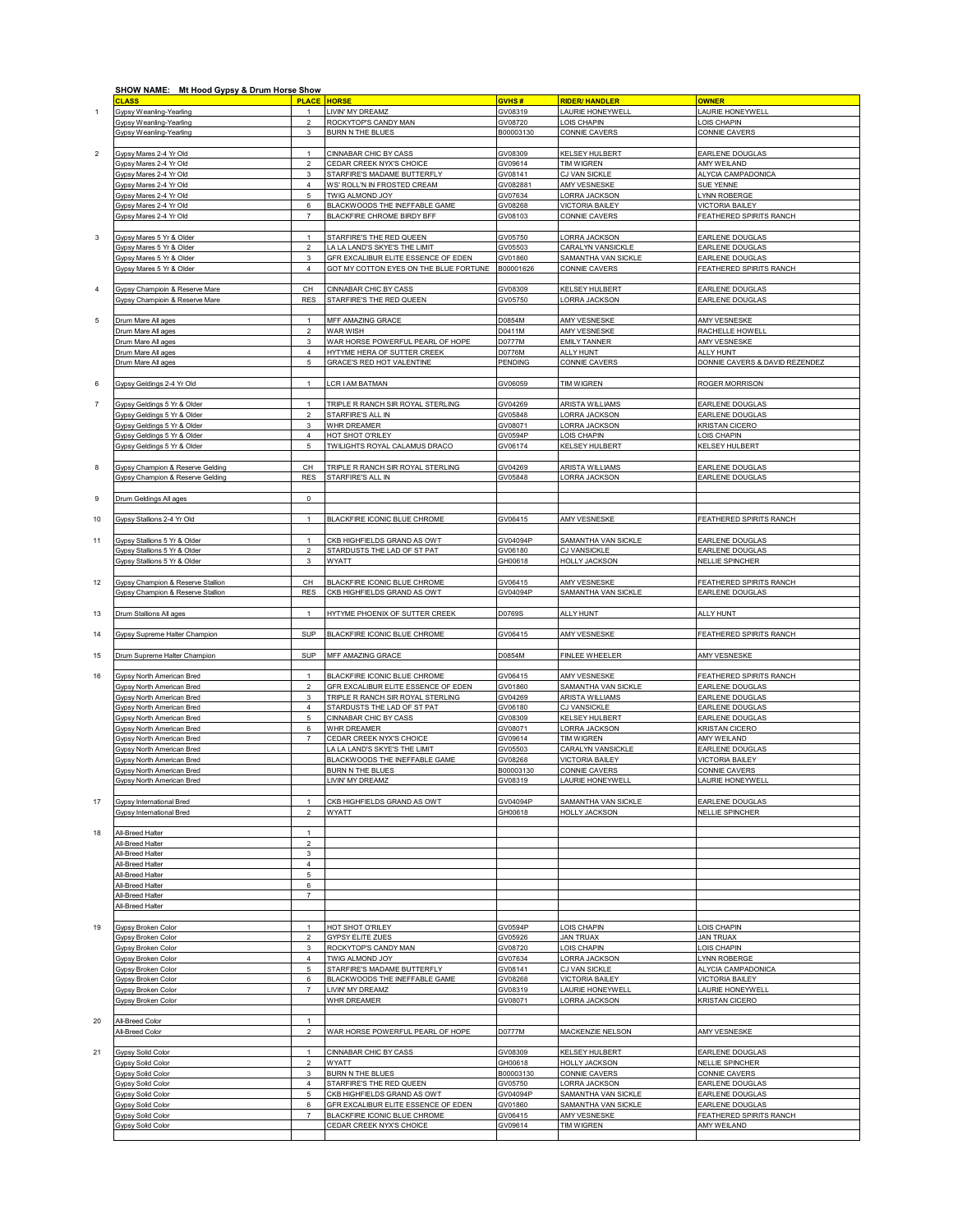|                | SHOW NAME: Mt Hood Gypsy & Drum Horse Show                           |                                |                                                                     |                      |                                                |                                            |
|----------------|----------------------------------------------------------------------|--------------------------------|---------------------------------------------------------------------|----------------------|------------------------------------------------|--------------------------------------------|
|                | <b>CLASS</b>                                                         | <b>PLACE</b>                   | <b>HORSE</b>                                                        | GVHS#                | <b>RIDER/HANDLER</b><br><b>AURIE HONEYWELL</b> | <b>OWNER</b>                               |
| $\mathbf{1}$   | Gypsy Weanling-Yearling<br>Gypsy Weanling-Yearling                   | $\overline{2}$                 | LIVIN' MY DREAMZ<br>ROCKYTOP'S CANDY MAN                            | GV08319<br>GV08720   | OIS CHAPIN                                     | AURIE HONEYWELL<br>OIS CHAPIN              |
|                | <b>Gypsy Weanling-Yearling</b>                                       | 3                              | <b>BURN N THE BLUES</b>                                             | B00003130            | CONNIE CAVERS                                  | CONNIE CAVERS                              |
|                |                                                                      |                                |                                                                     |                      |                                                |                                            |
| $\overline{c}$ | Gypsy Mares 2-4 Yr Old                                               | $\mathbf{1}$                   | CINNABAR CHIC BY CASS                                               | GV08309              | KELSEY HULBERT                                 | EARLENE DOUGLAS                            |
|                | Gypsy Mares 2-4 Yr Old<br>Gypsy Mares 2-4 Yr Old                     | $\overline{2}$<br>3            | CEDAR CREEK NYX'S CHOICE<br>STARFIRE'S MADAME BUTTERFLY             | GV09614<br>GV08141   | <b>TIM WIGREN</b><br>CJ VAN SICKLE             | AMY WEILAND<br>ALYCIA CAMPADONICA          |
|                | Gypsy Mares 2-4 Yr Old                                               | $\overline{4}$                 | WS' ROLL'N IN FROSTED CREAM                                         | GV082881             | AMY VESNESKE                                   | SUE YENNE                                  |
|                | Gypsy Mares 2-4 Yr Old                                               | 5                              | TWIG ALMOND JOY                                                     | GV07634              | <b>ORRA JACKSON</b>                            | YNN ROBERGE                                |
|                | Gypsy Mares 2-4 Yr Old                                               | 6                              | BLACKWOODS THE INEFFABLE GAME                                       | GV08268              | <b>VICTORIA BAILEY</b>                         | <b>VICTORIA BAILEY</b>                     |
|                | Gypsy Mares 2-4 Yr Old                                               | $\overline{7}$                 | BLACKFIRE CHROME BIRDY BFF                                          | GV08103              | CONNIE CAVERS                                  | <b>FEATHERED SPIRITS RANCH</b>             |
| 3              | Gypsy Mares 5 Yr & Older                                             | $\mathbf{1}$                   | STARFIRE'S THE RED QUEEN                                            | GV05750              | LORRA JACKSON                                  | EARLENE DOUGLAS                            |
|                | Gypsy Mares 5 Yr & Older                                             | $\overline{a}$                 | LA LA LAND'S SKYE'S THE LIMIT                                       | GV05503              | CARALYN VANSICKLE                              | EARLENE DOUGLAS                            |
|                | Gypsy Mares 5 Yr & Older                                             | $\mathbf{3}$                   | GFR EXCALIBUR ELITE ESSENCE OF EDEN                                 | GV01860              | SAMANTHA VAN SICKLE                            | EARLENE DOUGLAS                            |
|                | Gypsy Mares 5 Yr & Older                                             | $\overline{4}$                 | GOT MY COTTON EYES ON THE BLUE FORTUNE                              | B00001626            | CONNIE CAVERS                                  | FEATHERED SPIRITS RANCH                    |
| $\overline{4}$ | Gypsy Champioin & Reserve Mare                                       | CH                             | CINNABAR CHIC BY CASS                                               | GV08309              | <b>KELSEY HULBERT</b>                          | EARLENE DOUGLAS                            |
|                | Gypsy Champioin & Reserve Mare                                       | <b>RES</b>                     | STARFIRE'S THE RED QUEEN                                            | GV05750              | LORRA JACKSON                                  | EARLENE DOUGLAS                            |
|                |                                                                      |                                |                                                                     |                      |                                                |                                            |
| 5              | Drum Mare All ages<br>Drum Mare All ages                             | $\overline{1}$<br>$\sqrt{2}$   | MFF AMAZING GRACE<br>WAR WISH                                       | D0854M<br>D0411M     | AMY VESNESKE<br>AMY VESNESKE                   | AMY VESNESKE<br>RACHELLE HOWELL            |
|                | Drum Mare All ages                                                   | $\mathsf 3$                    | WAR HORSE POWERFUL PEARL OF HOPE                                    | D0777M               | <b>EMILY TANNER</b>                            | AMY VESNESKE                               |
|                | Drum Mare All ages                                                   | $\overline{4}$                 | HYTYME HERA OF SUTTER CREEK                                         | D0776M               | <b>ALLY HUNT</b>                               | ALLY HUNT                                  |
|                | Drum Mare All ages                                                   | 5                              | GRACE'S RED HOT VALENTINE                                           | PENDING              | CONNIE CAVERS                                  | DONNIE CAVERS & DAVID REZENDEZ             |
| 6              | Gypsy Geldings 2-4 Yr Old                                            | $\mathbf{1}$                   | <b>LCR I AM BATMAN</b>                                              | GV06059              | <b>TIM WIGREN</b>                              | ROGER MORRISON                             |
|                |                                                                      |                                |                                                                     |                      |                                                |                                            |
| $\overline{7}$ | <b>Gypsy Geldings 5 Yr &amp; Older</b>                               | $\mathbf{1}$                   | TRIPLE R RANCH SIR ROYAL STERLING                                   | GV04269              | ARISTA WILLIAMS                                | EARLENE DOUGLAS                            |
|                | <b>Gypsy Geldings 5 Yr &amp; Older</b>                               | $\overline{2}$                 | STARFIRE'S ALL IN                                                   | GV05848              | ORRA JACKSON                                   | EARLENE DOUGLAS                            |
|                | Gypsy Geldings 5 Yr & Older<br>Gypsy Geldings 5 Yr & Older           | $\mathbf{3}$<br>4              | WHR DREAMER<br>HOT SHOT O'RILEY                                     | GV08071<br>GV0594P   | <b>ORRA JACKSON</b><br>OIS CHAPIN              | <b>KRISTAN CICERO</b><br>LOIS CHAPIN       |
|                | Gypsy Geldings 5 Yr & Older                                          | $\,$ 5 $\,$                    | TWILIGHTS ROYAL CALAMUS DRACO                                       | GV06174              | KELSEY HULBERT                                 | KELSEY HULBERT                             |
|                |                                                                      |                                |                                                                     |                      |                                                |                                            |
| 8              | Gypsy Champion & Reserve Gelding<br>Gypsy Champion & Reserve Gelding | CH<br><b>RES</b>               | TRIPLE R RANCH SIR ROYAL STERLING<br>STARFIRE'S ALL IN              | GV04269<br>GV05848   | <b>ARISTA WILLIAMS</b><br>ORRA JACKSON         | EARLENE DOUGLAS<br>EARLENE DOUGLAS         |
|                |                                                                      |                                |                                                                     |                      |                                                |                                            |
| 9              | <b>Drum Geldings All ages</b>                                        | $\mathsf 0$                    |                                                                     |                      |                                                |                                            |
|                |                                                                      |                                |                                                                     |                      |                                                |                                            |
| 10             | Gypsy Stallions 2-4 Yr Old                                           | $\mathbf{1}$                   | BLACKFIRE ICONIC BLUE CHROME                                        | GV06415              | AMY VESNESKE                                   | FEATHERED SPIRITS RANCH                    |
| 11             | <b>Gypsy Stallions 5 Yr &amp; Older</b>                              | $\mathbf{1}$                   | CKB HIGHFIELDS GRAND AS OWT                                         | GV04094P             | SAMANTHA VAN SICKLE                            | EARLENE DOUGLAS                            |
|                | <b>Gypsy Stallions 5 Yr &amp; Older</b>                              | $\sqrt{2}$                     | STARDUSTS THE LAD OF ST PAT                                         | GV06180              | CJ VANSICKLE                                   | EARLENE DOUGLAS                            |
|                | Gypsy Stallions 5 Yr & Older                                         | 3                              | WYATT                                                               | GH00618              | <b>HOLLY JACKSON</b>                           | <b>NELLIE SPINCHER</b>                     |
| 12             | Gypsy Champion & Reserve Stallion                                    | CH                             | BLACKFIRE ICONIC BLUE CHROME                                        | GV06415              | AMY VESNESKE                                   | FEATHERED SPIRITS RANCH                    |
|                | Gypsy Champion & Reserve Stallion                                    | <b>RES</b>                     | CKB HIGHFIELDS GRAND AS OWT                                         | GV04094P             | SAMANTHA VAN SICKLE                            | EARLENE DOUGLAS                            |
|                |                                                                      |                                |                                                                     |                      |                                                |                                            |
| 13             | Drum Stallions All ages                                              | $\overline{1}$                 | HYTYME PHOENIX OF SUTTER CREEK                                      | D0769S               | ALLY HUNT                                      | ALLY HUNT                                  |
| 14             | Gypsy Supreme Halter Champion                                        | <b>SUP</b>                     | BLACKFIRE ICONIC BLUE CHROME                                        | GV06415              | AMY VESNESKE                                   | FEATHERED SPIRITS RANCH                    |
|                |                                                                      |                                |                                                                     |                      |                                                |                                            |
| 15             | Drum Supreme Halter Champion                                         | SUP                            | MFF AMAZING GRACE                                                   | D0854M               | FINLEE WHEELER                                 | <b>AMY VESNESKE</b>                        |
|                |                                                                      |                                |                                                                     |                      |                                                |                                            |
| 16             | Gypsy North American Bred<br>Gypsy North American Bred               | $\mathbf{1}$<br>$\overline{2}$ | BLACKFIRE ICONIC BLUE CHROME<br>GFR EXCALIBUR ELITE ESSENCE OF EDEN | GV06415<br>GV01860   | AMY VESNESKE<br>SAMANTHA VAN SICKLE            | FEATHERED SPIRITS RANCH<br>EARLENE DOUGLAS |
|                | Gypsy North American Bred                                            | 3                              | TRIPLE R RANCH SIR ROYAL STERLING                                   | GV04269              | <b>ARISTA WILLIAMS</b>                         | EARLENE DOUGLAS                            |
|                | Gypsy North American Bred                                            | $\overline{4}$                 | STARDUSTS THE LAD OF ST PAT                                         | GV06180              | CJ VANSICKLE                                   | EARLENE DOUGLAS                            |
|                | <b>Gypsy North American Bred</b><br>Gypsy North American Bred        | 5<br>6                         | CINNABAR CHIC BY CASS<br>WHR DREAMER                                | GV08309<br>GV08071   | KELSEY HULBERT<br><b>ORRA JACKSON</b>          | EARLENE DOUGLAS<br>KRISTAN CICERO          |
|                | Gypsy North American Bred                                            | $\overline{7}$                 | CEDAR CREEK NYX'S CHOICE                                            | GV09614              | <b>TIM WIGREN</b>                              | AMY WEILAND                                |
|                | Gypsy North American Bred                                            |                                | LA LA LAND'S SKYE'S THE LIMIT                                       | GV05503              | CARALYN VANSICKLE                              | EARLENE DOUGLAS                            |
|                | Gypsy North American Bred                                            |                                | BLACKWOODS THE INEFFABLE GAME                                       | GV08268              | <b>VICTORIA BAILEY</b>                         | <b>VICTORIA BAILEY</b>                     |
|                | Gypsy North American Bred<br>Gypsy North American Bred               |                                | <b>BURN N THE BLUES</b><br>LIVIN' MY DREAMZ                         | B00003130<br>GV08319 | CONNIE CAVERS<br>LAURIE HONEYWELL              | CONNIE CAVERS<br>LAURIE HONEYWELL          |
|                |                                                                      |                                |                                                                     |                      |                                                |                                            |
| 17             | <b>Gypsy International Bred</b>                                      | $\overline{1}$                 | CKB HIGHFIELDS GRAND AS OWT                                         | GV04094P             | SAMANTHA VAN SICKLE                            | EARLENE DOUGLAS                            |
|                | <b>Sypsy International Bred</b>                                      | $\overline{2}$                 | WYATT                                                               | GH00618              | <b>HOLLY JACKSON</b>                           | <b>NELLIE SPINCHER</b>                     |
| 18             | All-Breed Halter                                                     | $\overline{1}$                 |                                                                     |                      |                                                |                                            |
|                | All-Breed Halter                                                     | $\overline{2}$                 |                                                                     |                      |                                                |                                            |
|                | All-Breed Halter                                                     | 3                              |                                                                     |                      |                                                |                                            |
|                | All-Breed Halter<br>All-Breed Halter                                 | $\overline{4}$<br>5            |                                                                     |                      |                                                |                                            |
|                | All-Breed Halter                                                     | 6                              |                                                                     |                      |                                                |                                            |
|                | <b>All-Breed Halter</b>                                              | $\overline{7}$                 |                                                                     |                      |                                                |                                            |
|                | All-Breed Halter                                                     |                                |                                                                     |                      |                                                |                                            |
| 19             | Gypsy Broken Color                                                   | $\mathbf{1}$                   | HOT SHOT O'RILEY                                                    | GV0594P              | OIS CHAPIN                                     | OIS CHAPIN                                 |
|                | Gypsy Broken Color                                                   | $\overline{a}$                 | <b>GYPSY ELITE ZUES</b>                                             | GV05926              | <b>JAN TRUAX</b>                               | <b>JAN TRUAX</b>                           |
|                | Gypsy Broken Color                                                   | 3                              | ROCKYTOP'S CANDY MAN                                                | GV08720              | OIS CHAPIN                                     | OIS CHAPIN                                 |
|                | Gypsy Broken Color<br>Gypsy Broken Color                             | 4<br>5                         | TWIG ALMOND JOY<br>STARFIRE'S MADAME BUTTERFLY                      | GV07634<br>GV08141   | LORRA JACKSON<br>CJ VAN SICKLE                 | YNN ROBERGE<br>ALYCIA CAMPADONICA          |
|                | Gypsy Broken Color                                                   | 6                              | BLACKWOODS THE INEFFABLE GAME                                       | GV08268              | <b>VICTORIA BAILEY</b>                         | <b>VICTORIA BAILEY</b>                     |
|                | Gypsy Broken Color                                                   | $\overline{7}$                 | LIVIN' MY DREAMZ                                                    | GV08319              | AURIE HONEYWELL                                | LAURIE HONEYWELL                           |
|                | Gypsy Broken Color                                                   |                                | WHR DREAMER                                                         | GV08071              | LORRA JACKSON                                  | KRISTAN CICERO                             |
| 20             | All-Breed Color                                                      | $\overline{1}$                 |                                                                     |                      |                                                |                                            |
|                | All-Breed Color                                                      | $\overline{2}$                 | WAR HORSE POWERFUL PEARL OF HOPE                                    | D0777M               | MACKENZIE NELSON                               | AMY VESNESKE                               |
|                |                                                                      |                                |                                                                     |                      |                                                |                                            |
| 21             | <b>Gypsy Solid Color</b><br>Gypsy Solid Color                        | $\mathbf{1}$<br>$\overline{2}$ | CINNABAR CHIC BY CASS<br><b>WYATT</b>                               | GV08309<br>GH00618   | KELSEY HULBERT<br><b>HOLLY JACKSON</b>         | EARLENE DOUGLAS<br>NELLIE SPINCHER         |
|                | Gypsy Solid Color                                                    | 3                              | <b>BURN N THE BLUES</b>                                             | B00003130            | CONNIE CAVERS                                  | CONNIE CAVERS                              |
|                | Gypsy Solid Color                                                    | 4                              | STARFIRE'S THE RED QUEEN                                            | GV05750              | <b>ORRA JACKSON</b>                            | EARLENE DOUGLAS                            |
|                | Gypsy Solid Color                                                    | 5                              | CKB HIGHFIELDS GRAND AS OWT                                         | GV04094P             | SAMANTHA VAN SICKLE                            | EARLENE DOUGLAS                            |
|                | Gypsy Solid Color<br>Gypsy Solid Color                               | 6                              | GFR EXCALIBUR ELITE ESSENCE OF EDEN<br>BLACKFIRE ICONIC BLUE CHROME | GV01860<br>GV06415   | SAMANTHA VAN SICKLE<br>AMY VESNESKE            | EARLENE DOUGLAS<br>FEATHERED SPIRITS RANCH |
|                | Gypsy Solid Color                                                    |                                | CEDAR CREEK NYX'S CHOICE                                            | GV09614              | <b>TIM WIGREN</b>                              | AMY WEILAND                                |
|                |                                                                      |                                |                                                                     |                      |                                                |                                            |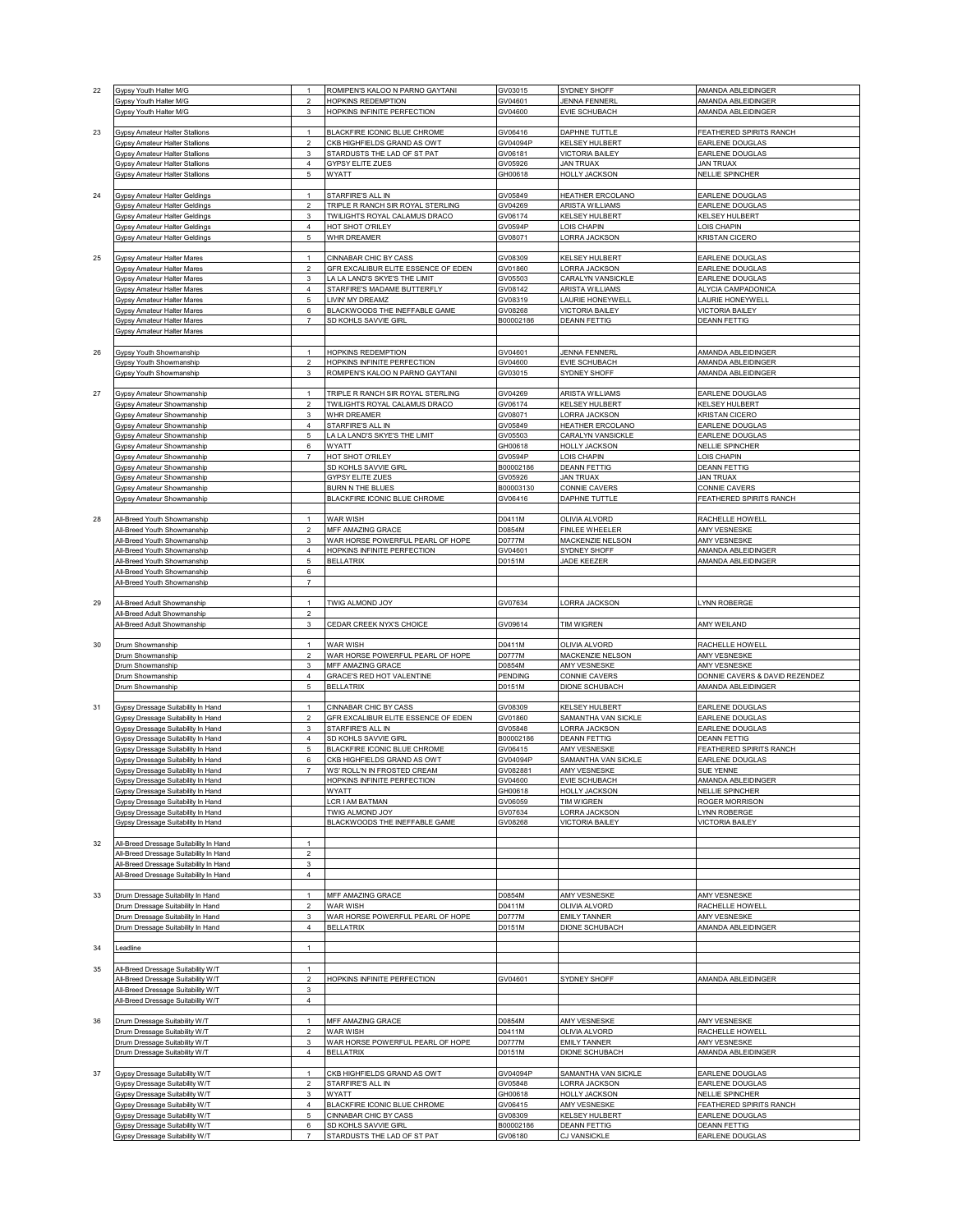| 22 | Gypsy Youth Halter M/G                                                   | $\mathbf{1}$             | ROMIPEN'S KALOO N PARNO GAYTANI                     |                      |                                            | AMANDA ABLEIDINGER                         |
|----|--------------------------------------------------------------------------|--------------------------|-----------------------------------------------------|----------------------|--------------------------------------------|--------------------------------------------|
|    |                                                                          |                          |                                                     | GV03015              | SYDNEY SHOFF                               |                                            |
|    | Gypsy Youth Halter M/G                                                   | $\overline{2}$           | HOPKINS REDEMPTION                                  | GV04601              | <b>JENNA FENNERL</b>                       | AMANDA ABLEIDINGER                         |
|    | Gypsy Youth Halter M/G                                                   | $\mathsf 3$              | HOPKINS INFINITE PERFECTION                         | GV04600              | EVIE SCHUBACH                              | AMANDA ABLEIDINGER                         |
|    |                                                                          |                          |                                                     |                      |                                            |                                            |
| 23 | Gypsy Amateur Halter Stallions                                           | $\mathbf{1}$             | BLACKFIRE ICONIC BLUE CHROME                        | GV06416              | <b>DAPHNE TUTTLE</b>                       | FEATHERED SPIRITS RANCH                    |
|    | Gypsy Amateur Halter Stallions                                           | $\overline{a}$           | CKB HIGHFIELDS GRAND AS OWT                         | GV04094P             | <b>KELSEY HULBERT</b>                      | EARLENE DOUGLAS                            |
|    | Gypsy Amateur Halter Stallions                                           | $\mathsf 3$              | STARDUSTS THE LAD OF ST PAT                         | GV06181              | <b>VICTORIA BAILEY</b>                     | EARLENE DOUGLAS                            |
|    | <b>Gypsy Amateur Halter Stallions</b>                                    | $\overline{4}$           | <b>GYPSY ELITE ZUES</b>                             | GV05926              | <b>JAN TRUAX</b>                           | <b>JAN TRUAX</b>                           |
|    | Gypsy Amateur Halter Stallions                                           | $\,$ 5 $\,$              | WYATT                                               | GH00618              | <b>HOLLY JACKSON</b>                       | <b>NELLIE SPINCHER</b>                     |
|    |                                                                          |                          |                                                     |                      |                                            |                                            |
|    |                                                                          |                          |                                                     |                      |                                            |                                            |
| 24 | Gypsy Amateur Halter Geldings                                            | $\mathbf{1}$             | STARFIRE'S ALL IN                                   | GV05849              | HEATHER ERCOLANO                           | EARLENE DOUGLAS                            |
|    | <b>Gypsy Amateur Halter Geldings</b>                                     | $\overline{2}$           | TRIPLE R RANCH SIR ROYAL STERLING                   | GV04269              | <b>ARISTA WILLIAMS</b>                     | EARLENE DOUGLAS                            |
|    | <b>Gypsy Amateur Halter Geldings</b>                                     | 3                        | TWILIGHTS ROYAL CALAMUS DRACO                       | GV06174              | <b>KELSEY HULBERT</b>                      | <b>KELSEY HULBERT</b>                      |
|    | Gypsy Amateur Halter Geldings                                            | 4                        | HOT SHOT O'RILEY                                    | GV0594P              | OIS CHAPIN                                 | LOIS CHAPIN                                |
|    | Gypsy Amateur Halter Geldings                                            | 5                        | WHR DREAMER                                         | GV08071              | ORRA JACKSON                               | <b>KRISTAN CICERO</b>                      |
|    |                                                                          |                          |                                                     |                      |                                            |                                            |
| 25 | Gypsy Amateur Halter Mares                                               | $\mathbf{1}$             | CINNABAR CHIC BY CASS                               | GV08309              | KELSEY HULBERT                             | EARLENE DOUGLAS                            |
|    | Gypsy Amateur Halter Mares                                               | $\overline{2}$           | GFR EXCALIBUR ELITE ESSENCE OF EDEN                 | GV01860              | LORRA JACKSON                              | EARLENE DOUGLAS                            |
|    | <b>Gypsy Amateur Halter Mares</b>                                        | 3                        | LA LA LAND'S SKYE'S THE LIMIT                       | GV05503              | CARALYN VANSICKLE                          | EARLENE DOUGLAS                            |
|    |                                                                          |                          | STARFIRE'S MADAME BUTTERFLY                         |                      |                                            |                                            |
|    | Gypsy Amateur Halter Mares                                               | $\sqrt{4}$               |                                                     | GV08142              | <b>ARISTA WILLIAMS</b>                     | ALYCIA CAMPADONICA                         |
|    | Gypsy Amateur Halter Mares                                               | 5                        | LIVIN' MY DREAMZ                                    | GV08319              | LAURIE HONEYWELL                           | LAURIE HONEYWELL                           |
|    | Gypsy Amateur Halter Mares                                               | 6                        | BLACKWOODS THE INEFFABLE GAME                       | GV08268              | <b>VICTORIA BAILEY</b>                     | <b>VICTORIA BAILEY</b>                     |
|    | Gypsy Amateur Halter Mares                                               | $\overline{7}$           | SD KOHLS SAVVIE GIRL                                | B00002186            | <b>DEANN FETTIG</b>                        | <b>DEANN FETTIG</b>                        |
|    | Gypsy Amateur Halter Mares                                               |                          |                                                     |                      |                                            |                                            |
|    |                                                                          |                          |                                                     |                      |                                            |                                            |
| 26 | Gypsy Youth Showmanship                                                  | $\mathbf{1}$             | <b>HOPKINS REDEMPTION</b>                           | GV04601              | <b>JENNA FENNERL</b>                       | AMANDA ABLEIDINGER                         |
|    | <b>Gypsy Youth Showmanship</b>                                           | $\overline{2}$           | HOPKINS INFINITE PERFECTION                         | GV04600              | <b>EVIE SCHUBACH</b>                       | AMANDA ABLEIDINGER                         |
|    | Gypsy Youth Showmanship                                                  | $\mathsf 3$              | ROMIPEN'S KALOO N PARNO GAYTANI                     | GV03015              | SYDNEY SHOFF                               | AMANDA ABLEIDINGER                         |
|    |                                                                          |                          |                                                     |                      |                                            |                                            |
|    |                                                                          |                          |                                                     |                      |                                            |                                            |
| 27 | Gypsy Amateur Showmanship                                                | $\mathbf{1}$             | TRIPLE R RANCH SIR ROYAL STERLING                   | GV04269              | <b>ARISTA WILLIAMS</b>                     | EARLENE DOUGLAS                            |
|    | Gypsy Amateur Showmanship                                                | $\overline{2}$           | TWILIGHTS ROYAL CALAMUS DRACO                       | GV06174              | <b>KELSEY HULBERT</b>                      | <b>KELSEY HULBERT</b>                      |
|    | Gypsy Amateur Showmanship                                                | $\mathsf 3$              | WHR DREAMER                                         | GV08071              | ORRA JACKSON                               | <b>KRISTAN CICERO</b>                      |
|    | Gypsy Amateur Showmanship                                                | $\overline{4}$           | STARFIRE'S ALL IN                                   | GV05849              | HEATHER ERCOLANO                           | <b>EARLENE DOUGLAS</b>                     |
|    | Gypsy Amateur Showmanship                                                | $\,$ 5 $\,$              | LA LA LAND'S SKYE'S THE LIMIT                       | GV05503              | CARALYN VANSICKLE                          | EARLENE DOUGLAS                            |
|    | Gypsy Amateur Showmanship                                                | 6                        | WYATT                                               | GH00618              | <b>HOLLY JACKSON</b>                       | <b>NELLIE SPINCHER</b>                     |
|    |                                                                          |                          |                                                     |                      |                                            |                                            |
|    | Gypsy Amateur Showmanship                                                | $\overline{7}$           | HOT SHOT O'RILEY                                    | GV0594P              | OIS CHAPIN                                 | OIS CHAPIN                                 |
|    | Gypsy Amateur Showmanship                                                |                          | SD KOHLS SAVVIE GIRL                                | B00002186            | <b>DEANN FETTIG</b>                        | <b>DEANN FETTIG</b>                        |
|    | Gypsy Amateur Showmanship                                                |                          | <b>GYPSY ELITE ZUES</b>                             | GV05926              | <b>JAN TRUAX</b>                           | <b>JAN TRUAX</b>                           |
|    | Gypsy Amateur Showmanship                                                |                          | <b>BURN N THE BLUES</b>                             | B00003130            | CONNIE CAVERS                              | CONNIE CAVERS                              |
|    | Gypsy Amateur Showmanship                                                |                          | BLACKFIRE ICONIC BLUE CHROME                        | GV06416              | DAPHNE TUTTLE                              | FEATHERED SPIRITS RANCH                    |
|    |                                                                          |                          |                                                     |                      |                                            |                                            |
| 28 | All-Breed Youth Showmanship                                              | $\mathbf{1}$             | WAR WISH                                            | D0411M               | OLIVIA ALVORD                              | RACHELLE HOWELL                            |
|    |                                                                          |                          |                                                     |                      |                                            |                                            |
|    | All-Breed Youth Showmanship                                              | $\overline{2}$           | MFF AMAZING GRACE                                   | D0854M               | FINLEE WHEELER                             | AMY VESNESKE                               |
|    | All-Breed Youth Showmanship                                              | 3                        | WAR HORSE POWERFUL PEARL OF HOPE                    | D0777M               | MACKENZIE NELSON                           | <b>AMY VESNESKE</b>                        |
|    | All-Breed Youth Showmanship                                              | $\sqrt{4}$               | HOPKINS INFINITE PERFECTION                         | GV04601              | SYDNEY SHOFF                               | AMANDA ABLEIDINGER                         |
|    | All-Breed Youth Showmanship                                              | 5                        | <b>BELLATRIX</b>                                    | D0151M               | JADE KEEZER                                | AMANDA ABLEIDINGER                         |
|    | All-Breed Youth Showmanship                                              | 6                        |                                                     |                      |                                            |                                            |
|    | All-Breed Youth Showmanship                                              | $\overline{7}$           |                                                     |                      |                                            |                                            |
|    |                                                                          |                          |                                                     |                      |                                            |                                            |
| 29 | All-Breed Adult Showmanship                                              | $\mathbf{1}$             | TWIG ALMOND JOY                                     | GV07634              | ORRA JACKSON                               | YNN ROBERGE                                |
|    |                                                                          |                          |                                                     |                      |                                            |                                            |
|    |                                                                          |                          |                                                     |                      |                                            |                                            |
|    | All-Breed Adult Showmanship                                              | $\overline{2}$           |                                                     |                      |                                            |                                            |
|    | All-Breed Adult Showmanship                                              | 3                        | CEDAR CREEK NYX'S CHOICE                            | GV09614              | <b>TIM WIGREN</b>                          | AMY WEILAND                                |
|    |                                                                          |                          |                                                     |                      |                                            |                                            |
| 30 | Drum Showmanship                                                         | $\overline{1}$           | WAR WISH                                            | D0411M               | OLIVIA ALVORD                              | RACHELLE HOWELL                            |
|    |                                                                          |                          |                                                     |                      |                                            |                                            |
|    | Drum Showmanship                                                         | $\sqrt{2}$               | WAR HORSE POWERFUL PEARL OF HOPE                    | D0777M               | <b>MACKENZIE NELSON</b>                    | <b>AMY VESNESKE</b>                        |
|    | Drum Showmanship                                                         | 3                        | MFF AMAZING GRACE                                   | D0854M               | AMY VESNESKE                               | AMY VESNESKE                               |
|    | Drum Showmanship                                                         | $\sqrt{4}$               | <b>GRACE'S RED HOT VALENTINE</b>                    | PENDING              | CONNIE CAVERS                              | DONNIE CAVERS & DAVID REZENDEZ             |
|    | Drum Showmanship                                                         | 5                        | <b>BELLATRIX</b>                                    | D0151M               | <b>DIONE SCHUBACH</b>                      | AMANDA ABLEIDINGER                         |
|    |                                                                          |                          |                                                     |                      |                                            |                                            |
| 31 | Gypsy Dressage Suitability In Hand                                       | $\mathbf{1}$             | CINNABAR CHIC BY CASS                               | GV08309              | <b>KELSEY HULBERT</b>                      | EARLENE DOUGLAS                            |
|    | Gypsy Dressage Suitability In Hand                                       | $\overline{a}$           | GFR EXCALIBUR ELITE ESSENCE OF EDEN                 | GV01860              | SAMANTHA VAN SICKLE                        | EARLENE DOUGLAS                            |
|    | Gypsy Dressage Suitability In Hand                                       | 3                        | STARFIRE'S ALL IN                                   | GV05848              | ORRA JACKSON                               | <b>EARLENE DOUGLAS</b>                     |
|    | Gypsy Dressage Suitability In Hand                                       | $\sqrt{4}$               | SD KOHLS SAVVIE GIRL                                | B00002186            | <b>DEANN FETTIG</b>                        | <b>DEANN FETTIG</b>                        |
|    |                                                                          | 5                        | BLACKFIRE ICONIC BLUE CHROME                        |                      | AMY VESNESKE                               |                                            |
|    | Gypsy Dressage Suitability In Hand<br>Gypsy Dressage Suitability In Hand | 6                        | CKB HIGHFIELDS GRAND AS OWT                         | GV06415<br>GV04094P  | SAMANTHA VAN SICKLE                        | FEATHERED SPIRITS RANCH<br>EARLENE DOUGLAS |
|    |                                                                          |                          |                                                     |                      |                                            |                                            |
|    | Gypsy Dressage Suitability In Hand                                       | $\overline{\mathcal{I}}$ | WS' ROLL'N IN FROSTED CREAM                         | GV082881             | AMY VESNESKE                               | <b>SUE YENNE</b>                           |
|    | Gypsy Dressage Suitability In Hand                                       |                          | HOPKINS INFINITE PERFECTION                         | GV04600              | <b>EVIE SCHUBACH</b>                       | AMANDA ABLEIDINGER                         |
|    | Gypsy Dressage Suitability In Hand                                       |                          | WYATT                                               | GH00618              | <b>HOLLY JACKSON</b>                       | <b>NELLIE SPINCHER</b>                     |
|    | Gypsy Dressage Suitability In Hand                                       |                          | <b>LCR I AM BATMAN</b>                              | GV06059              | <b>TIM WIGREN</b>                          | <b>ROGER MORRISON</b>                      |
|    | Gypsy Dressage Suitability In Hand                                       |                          | TWIG ALMOND JOY                                     | GV07634              | ORRA JACKSON                               | LYNN ROBERGE                               |
|    | Gypsy Dressage Suitability In Hand                                       |                          | BLACKWOODS THE INEFFABLE GAME                       | GV08268              | <b>VICTORIA BAILEY</b>                     | <b>VICTORIA BAILEY</b>                     |
|    |                                                                          |                          |                                                     |                      |                                            |                                            |
| 32 | All-Breed Dressage Suitability In Hand                                   | $\mathbf{1}$             |                                                     |                      |                                            |                                            |
|    |                                                                          |                          |                                                     |                      |                                            |                                            |
|    | All-Breed Dressage Suitability In Hand                                   | $\overline{c}$           |                                                     |                      |                                            |                                            |
|    | All-Breed Dressage Suitability In Hand                                   | $\mathsf 3$              |                                                     |                      |                                            |                                            |
|    | All-Breed Dressage Suitability In Hand                                   | 4                        |                                                     |                      |                                            |                                            |
|    |                                                                          |                          |                                                     |                      |                                            |                                            |
| 33 | Drum Dressage Suitability In Hand                                        | $\mathbf{1}$             | MFF AMAZING GRACE                                   | D0854M               | AMY VESNESKE                               | AMY VESNESKE                               |
|    | Drum Dressage Suitability In Hand                                        | $\overline{2}$           | WAR WISH                                            | D0411M               | OLIVIA ALVORD                              | RACHELLE HOWELL                            |
|    | Drum Dressage Suitability In Hand                                        | 3                        | WAR HORSE POWERFUL PEARL OF HOPE                    | D0777M               | <b>EMILY TANNER</b>                        | AMY VESNESKE                               |
|    | Drum Dressage Suitability In Hand                                        | $\overline{4}$           | <b>BELLATRIX</b>                                    | D0151M               | DIONE SCHUBACH                             | AMANDA ABLEIDINGER                         |
|    |                                                                          |                          |                                                     |                      |                                            |                                            |
|    |                                                                          | 1                        |                                                     |                      |                                            |                                            |
| 34 | Leadline                                                                 |                          |                                                     |                      |                                            |                                            |
|    |                                                                          |                          |                                                     |                      |                                            |                                            |
| 35 | All-Breed Dressage Suitability W/T                                       | $\mathbf{1}$             |                                                     |                      |                                            |                                            |
|    | All-Breed Dressage Suitability W/T                                       | $\overline{2}$           | HOPKINS INFINITE PERFECTION                         | GV04601              | SYDNEY SHOFF                               | AMANDA ABLEIDINGER                         |
|    | All-Breed Dressage Suitability W/T                                       | 3                        |                                                     |                      |                                            |                                            |
|    | All-Breed Dressage Suitability W/T                                       | $\sqrt{4}$               |                                                     |                      |                                            |                                            |
|    |                                                                          |                          |                                                     |                      |                                            |                                            |
|    |                                                                          |                          |                                                     |                      |                                            |                                            |
| 36 | Drum Dressage Suitability W/T                                            | $\mathbf{1}$             | MFF AMAZING GRACE                                   | D0854M               | AMY VESNESKE                               | AMY VESNESKE                               |
|    | Drum Dressage Suitability W/T                                            | $\overline{2}$           | WAR WISH                                            | D0411M               | OLIVIA ALVORD                              | RACHELLE HOWELL                            |
|    | Drum Dressage Suitability W/T                                            | $\mathsf 3$              | WAR HORSE POWERFUL PEARL OF HOPE                    | D0777M               | <b>EMILY TANNER</b>                        | AMY VESNESKE                               |
|    | Drum Dressage Suitability W/T                                            | $\overline{4}$           | <b>BELLATRIX</b>                                    | D0151M               | DIONE SCHUBACH                             | AMANDA ABLEIDINGER                         |
|    |                                                                          |                          |                                                     |                      |                                            |                                            |
| 37 | Gypsy Dressage Suitability W/T                                           | $\mathbf{1}$             | CKB HIGHFIELDS GRAND AS OWT                         | GV04094P             | SAMANTHA VAN SICKLE                        | EARLENE DOUGLAS                            |
|    |                                                                          | $\overline{c}$           | STARFIRE'S ALL IN                                   | GV05848              | <b>ORRA JACKSON</b>                        | EARLENE DOUGLAS                            |
|    | Gypsy Dressage Suitability W/T                                           | 3                        | <b>WYATT</b>                                        |                      |                                            |                                            |
|    | Gypsy Dressage Suitability W/T                                           |                          |                                                     | GH00618              | HOLLY JACKSON                              | NELLIE SPINCHER                            |
|    | Gypsy Dressage Suitability W/T                                           | $\overline{4}$           | BLACKFIRE ICONIC BLUE CHROME                        | GV06415              | AMY VESNESKE                               | FEATHERED SPIRITS RANCH                    |
|    | Gypsy Dressage Suitability W/T                                           | 5                        | CINNABAR CHIC BY CASS                               | GV08309              | KELSEY HULBERT                             | EARLENE DOUGLAS                            |
|    | Gypsy Dressage Suitability W/T<br>Gypsy Dressage Suitability W/T         | 6<br>$\overline{7}$      | SD KOHLS SAVVIE GIRL<br>STARDUSTS THE LAD OF ST PAT | B00002186<br>GV06180 | <b>DEANN FETTIG</b><br><b>CJ VANSICKLE</b> | <b>DEANN FETTIG</b><br>EARLENE DOUGLAS     |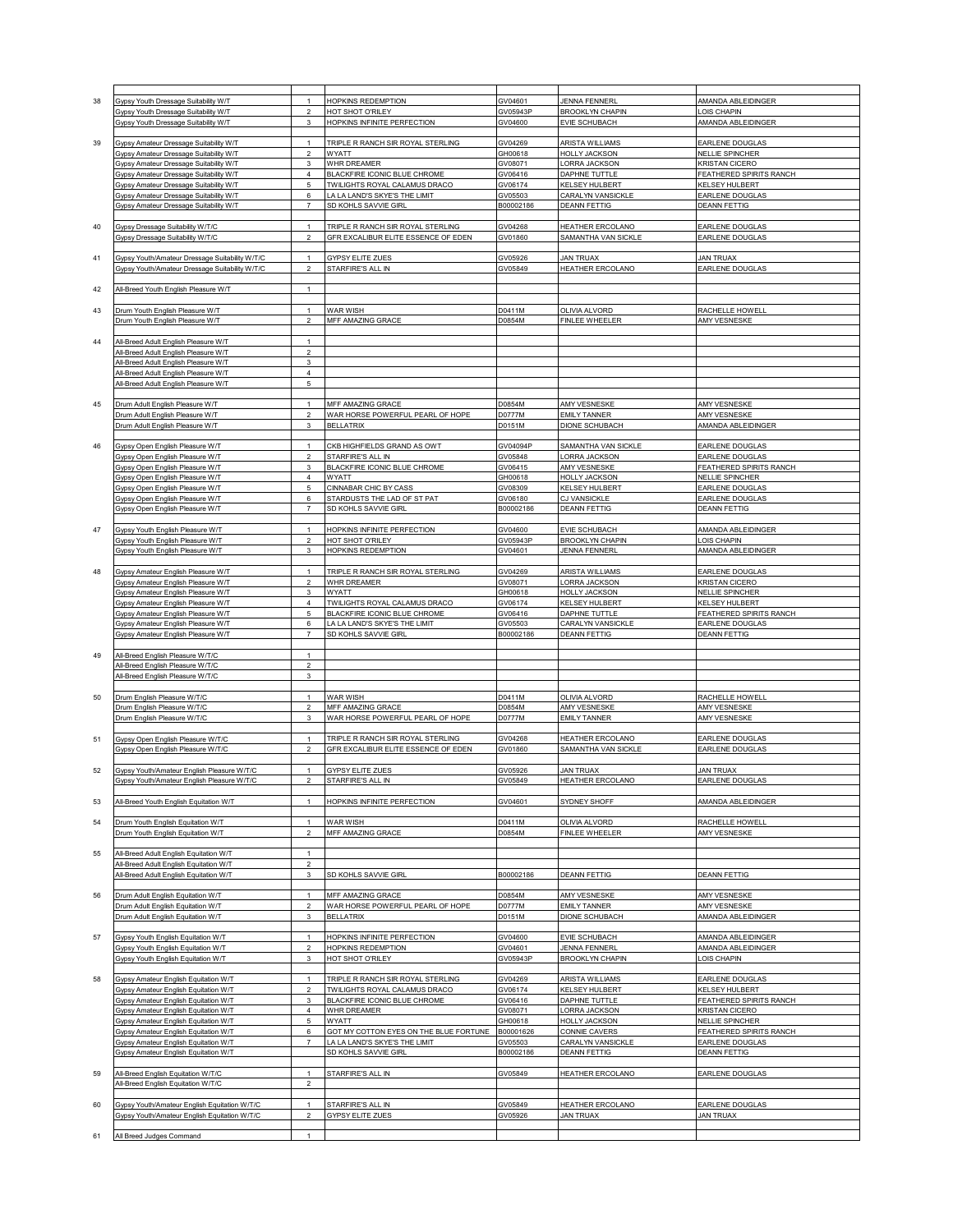| 38 | Gypsy Youth Dressage Suitability W/T           | $\overline{1}$   | HOPKINS REDEMPTION                       | GV04601   | <b>JENNA FENNERL</b>    | AMANDA ABLEIDINGER      |
|----|------------------------------------------------|------------------|------------------------------------------|-----------|-------------------------|-------------------------|
|    | Gypsy Youth Dressage Suitability W/T           | $\overline{2}$   | HOT SHOT O'RILEY                         | GV05943P  | <b>BROOKLYN CHAPIN</b>  | OIS CHAPIN              |
|    | Gypsy Youth Dressage Suitability W/T           | 3                | HOPKINS INFINITE PERFECTION              | GV04600   | <b>EVIE SCHUBACH</b>    | AMANDA ABLEIDINGER      |
|    |                                                |                  |                                          |           |                         |                         |
|    |                                                | $\mathbf{1}$     | TRIPLE R RANCH SIR ROYAL STERLING        |           |                         |                         |
| 39 | Gypsy Amateur Dressage Suitability W/T         |                  |                                          | GV04269   | <b>ARISTA WILLIAMS</b>  | EARLENE DOUGLAS         |
|    | Gypsy Amateur Dressage Suitability W/T         | $\overline{2}$   | WYATT                                    | GH00618   | <b>HOLLY JACKSON</b>    | NELLIE SPINCHER         |
|    | Gypsy Amateur Dressage Suitability W/T         | $\mathsf 3$      | WHR DREAMER                              | GV08071   | LORRA JACKSON           | <b>KRISTAN CICERO</b>   |
|    | Gypsy Amateur Dressage Suitability W/T         | 4                | <b>BLACKFIRE ICONIC BLUE CHROME</b>      | GV06416   | DAPHNE TUTTLE           | FEATHERED SPIRITS RANCH |
|    | Gypsy Amateur Dressage Suitability W/T         | 5                | TWILIGHTS ROYAL CALAMUS DRACO            | GV06174   | KELSEY HULBERT          | <b>KELSEY HULBERT</b>   |
|    |                                                |                  |                                          |           |                         |                         |
|    | Gypsy Amateur Dressage Suitability W/T         | 6                | LA LA LAND'S SKYE'S THE LIMIT            | GV05503   | CARALYN VANSICKLE       | EARLENE DOUGLAS         |
|    | Gypsy Amateur Dressage Suitability W/T         | $\overline{7}$   | SD KOHLS SAVVIE GIRL                     | B00002186 | <b>DEANN FETTIG</b>     | <b>DEANN FETTIG</b>     |
|    |                                                |                  |                                          |           |                         |                         |
| 40 | Gypsy Dressage Suitability W/T/C               | $\mathbf{1}$     | TRIPLE R RANCH SIR ROYAL STERLING        | GV04268   | HEATHER ERCOLANO        | <b>EARLENE DOUGLAS</b>  |
|    | Gypsy Dressage Suitability W/T/C               | $\sqrt{2}$       | GFR EXCALIBUR ELITE ESSENCE OF EDEN      | GV01860   | SAMANTHA VAN SICKLE     | EARLENE DOUGLAS         |
|    |                                                |                  |                                          |           |                         |                         |
|    |                                                |                  |                                          |           |                         |                         |
| 41 | Gypsy Youth/Amateur Dressage Suitability W/T/C | $\mathbf{1}$     | <b>GYPSY ELITE ZUES</b>                  | GV05926   | <b>JAN TRUAX</b>        | <b>JAN TRUAX</b>        |
|    | Gypsy Youth/Amateur Dressage Suitability W/T/C | $\overline{2}$   | STARFIRE'S ALL IN                        | GV05849   | HEATHER ERCOLANO        | <b>EARLENE DOUGLAS</b>  |
|    |                                                |                  |                                          |           |                         |                         |
|    |                                                | $\mathbf{1}$     |                                          |           |                         |                         |
| 42 | All-Breed Youth English Pleasure W/T           |                  |                                          |           |                         |                         |
|    |                                                |                  |                                          |           |                         |                         |
| 43 | Drum Youth English Pleasure W/T                | $\mathbf{1}$     | WAR WISH                                 | D0411M    | OLIVIA ALVORD           | RACHELLE HOWELL         |
|    | Drum Youth English Pleasure W/T                | $\boldsymbol{2}$ | MFF AMAZING GRACE                        | D0854M    | <b>FINLEE WHEELER</b>   | AMY VESNESKE            |
|    |                                                |                  |                                          |           |                         |                         |
|    |                                                |                  |                                          |           |                         |                         |
| 44 | All-Breed Adult English Pleasure W/T           | $\overline{1}$   |                                          |           |                         |                         |
|    | All-Breed Adult English Pleasure W/T           | $\overline{2}$   |                                          |           |                         |                         |
|    | All-Breed Adult English Pleasure W/T           | 3                |                                          |           |                         |                         |
|    | All-Breed Adult English Pleasure W/T           | $\sqrt{4}$       |                                          |           |                         |                         |
|    | All-Breed Adult English Pleasure W/T           | 5                |                                          |           |                         |                         |
|    |                                                |                  |                                          |           |                         |                         |
|    |                                                |                  |                                          |           |                         |                         |
| 45 | Drum Adult English Pleasure W/T                | $\mathbf{1}$     | MFF AMAZING GRACE                        | D0854M    | AMY VESNESKE            | AMY VESNESKE            |
|    | Drum Adult English Pleasure W/T                | $\overline{2}$   | WAR HORSE POWERFUL PEARL OF HOPE         | D0777M    | <b>EMILY TANNER</b>     | AMY VESNESKE            |
|    | Drum Adult English Pleasure W/T                | 3                | <b>BELLATRIX</b>                         | D0151M    | <b>DIONE SCHUBACH</b>   | AMANDA ABLEIDINGER      |
|    |                                                |                  |                                          |           |                         |                         |
|    |                                                |                  |                                          |           |                         |                         |
| 46 | Gypsy Open English Pleasure W/T                | $\mathbf{1}$     | CKB HIGHFIELDS GRAND AS OWT              | GV04094P  | SAMANTHA VAN SICKLE     | EARLENE DOUGLAS         |
|    | Gypsy Open English Pleasure W/T                | $\overline{2}$   | STARFIRE'S ALL IN                        | GV05848   | LORRA JACKSON           | EARLENE DOUGLAS         |
|    | Gypsy Open English Pleasure W/T                | $\mathbf{3}$     | BLACKFIRE ICONIC BLUE CHROME             | GV06415   | AMY VESNESKE            | FEATHERED SPIRITS RANCH |
|    |                                                |                  |                                          |           |                         |                         |
|    | Gypsy Open English Pleasure W/T                | $\sqrt{4}$       | WYATT                                    | GH00618   | <b>HOLLY JACKSON</b>    | NELLIE SPINCHER         |
|    | Gypsy Open English Pleasure W/T                | 5                | CINNABAR CHIC BY CASS                    | GV08309   | KELSEY HULBERT          | EARLENE DOUGLAS         |
|    | Gypsy Open English Pleasure W/T                | 6                | STARDUSTS THE LAD OF ST PAT              | GV06180   | <b>CJ VANSICKLE</b>     | EARLENE DOUGLAS         |
|    | Gypsy Open English Pleasure W/T                | $\overline{7}$   | SD KOHLS SAVVIE GIRL                     | B00002186 | <b>DEANN FETTIG</b>     | <b>DEANN FETTIG</b>     |
|    |                                                |                  |                                          |           |                         |                         |
|    |                                                |                  |                                          |           |                         |                         |
| 47 | Gypsy Youth English Pleasure W/T               | $\mathbf{1}$     | HOPKINS INFINITE PERFECTION              | GV04600   | <b>EVIE SCHUBACH</b>    | AMANDA ABLEIDINGER      |
|    | Gypsy Youth English Pleasure W/T               | $\boldsymbol{2}$ | HOT SHOT O'RILEY                         | GV05943P  | <b>BROOKLYN CHAPIN</b>  | OIS CHAPIN              |
|    | Gypsy Youth English Pleasure W/T               | 3                | <b>HOPKINS REDEMPTION</b>                | GV04601   | <b>JENNA FENNERL</b>    | AMANDA ABLEIDINGER      |
|    |                                                |                  |                                          |           |                         |                         |
|    |                                                |                  |                                          |           |                         |                         |
| 48 | Gypsy Amateur English Pleasure W/T             | $\mathbf{1}$     | TRIPLE R RANCH SIR ROYAL STERLING        | GV04269   | <b>ARISTA WILLIAMS</b>  | <b>EARLENE DOUGLAS</b>  |
|    | Gypsy Amateur English Pleasure W/T             | $\sqrt{2}$       | WHR DREAMER                              | GV08071   | LORRA JACKSON           | <b>KRISTAN CICERO</b>   |
|    | Gypsy Amateur English Pleasure W/T             | 3                | WYATT                                    | GH00618   | <b>HOLLY JACKSON</b>    | <b>NELLIE SPINCHER</b>  |
|    | Gypsy Amateur English Pleasure W/T             | $\overline{4}$   | <b>TWILIGHTS ROYAL CALAMUS DRACO</b>     | GV06174   | KELSEY HULBERT          | KELSEY HULBERT          |
|    |                                                |                  |                                          |           |                         |                         |
|    | Gypsy Amateur English Pleasure W/T             | 5                | BLACKFIRE ICONIC BLUE CHROME             | GV06416   | DAPHNE TUTTLE           | FEATHERED SPIRITS RANCH |
|    | Gypsy Amateur English Pleasure W/T             | 6                | LA LA LAND'S SKYE'S THE LIMIT            | GV05503   | CARALYN VANSICKLE       | EARLENE DOUGLAS         |
|    | Gypsy Amateur English Pleasure W/T             | $\overline{7}$   | SD KOHLS SAVVIE GIRL                     | B00002186 | <b>DEANN FETTIG</b>     | <b>DEANN FETTIG</b>     |
|    |                                                |                  |                                          |           |                         |                         |
|    |                                                |                  |                                          |           |                         |                         |
| 49 | All-Breed English Pleasure W/T/C               |                  |                                          |           |                         |                         |
|    | All-Breed English Pleasure W/T/C               | $\overline{2}$   |                                          |           |                         |                         |
|    | All-Breed English Pleasure W/T/C               | 3                |                                          |           |                         |                         |
|    |                                                |                  |                                          |           |                         |                         |
| 50 | Drum English Pleasure W/T/C                    | $\mathbf{1}$     | WAR WISH                                 | D0411M    | OLIVIA ALVORD           | RACHELLE HOWELL         |
|    |                                                |                  |                                          |           |                         |                         |
|    | Drum English Pleasure W/T/C                    | $\sqrt{2}$       | MFF AMAZING GRACE                        | D0854M    | AMY VESNESKE            | AMY VESNESKE            |
|    | Drum English Pleasure W/T/C                    | 3                | WAR HORSE POWERFUL PEARL OF HOPE         | D0777M    | <b>EMILY TANNER</b>     | AMY VESNESKE            |
|    |                                                |                  |                                          |           |                         |                         |
| 51 | Gypsy Open English Pleasure W/T/C              | $\mathbf{1}$     | <b>TRIPLE R RANCH SIR ROYAL STERLING</b> | GV04268   | <b>HEATHER ERCOLANO</b> | EARLENE DOUGLAS         |
|    |                                                |                  |                                          |           |                         |                         |
|    | Gypsy Open English Pleasure W/T/C              | $\sqrt{2}$       | GFR EXCALIBUR ELITE ESSENCE OF EDEN.     | GV01860   | SAMANTHA VAN SICKLE     | EARLENE DOUGLAS         |
|    |                                                |                  |                                          |           |                         |                         |
| 52 | Gypsy Youth/Amateur English Pleasure W/T/C     | $\mathbf{1}$     | <b>GYPSY ELITE ZUES</b>                  | GV05926   | <b>JAN TRUAX</b>        | <b>JAN TRUAX</b>        |
|    | <b>Sypsy Youth/Amateur English Ple</b>         |                  | TARFIRE'S ALL IN                         |           |                         | ARLENE<br>101000        |
|    |                                                |                  |                                          |           |                         |                         |
|    |                                                |                  |                                          |           |                         |                         |
| 53 | All-Breed Youth English Equitation W/T         | $\overline{1}$   | HOPKINS INFINITE PERFECTION              | GV04601   | SYDNEY SHOFF            | AMANDA ABLEIDINGER      |
|    |                                                |                  |                                          |           |                         |                         |
| 54 | Drum Youth English Equitation W/T              | $\mathbf{1}$     | WAR WISH                                 | D0411M    | OLIVIA ALVORD           | RACHELLE HOWELL         |
|    | Drum Youth English Equitation W/T              | $\overline{2}$   | MFF AMAZING GRACE                        | D0854M    | <b>FINLEE WHEELER</b>   | AMY VESNESKE            |
|    |                                                |                  |                                          |           |                         |                         |
|    |                                                |                  |                                          |           |                         |                         |
| 55 | All-Breed Adult English Equitation W/T         | $\mathbf{1}$     |                                          |           |                         |                         |
|    | All-Breed Adult English Equitation W/T         | $\overline{2}$   |                                          |           |                         |                         |
|    | All-Breed Adult English Equitation W/T         | 3                | SD KOHLS SAVVIE GIRL                     | B00002186 | <b>DEANN FETTIG</b>     | <b>DEANN FETTIG</b>     |
|    |                                                |                  |                                          |           |                         |                         |
| 56 | Drum Adult English Equitation W/T              | $\mathbf{1}$     | MFF AMAZING GRACE                        | D0854M    | AMY VESNESKE            | AMY VESNESKE            |
|    |                                                |                  |                                          |           |                         |                         |
|    | Drum Adult English Equitation W/T              | $\overline{2}$   | WAR HORSE POWERFUL PEARL OF HOPE         | D0777M    | <b>EMILY TANNER</b>     | AMY VESNESKE            |
|    | Drum Adult English Equitation W/T              | 3                | <b>BELLATRIX</b>                         | D0151M    | <b>DIONE SCHUBACH</b>   | AMANDA ABLEIDINGER      |
|    |                                                |                  |                                          |           |                         |                         |
| 57 | Gypsy Youth English Equitation W/T             | $\overline{1}$   | HOPKINS INFINITE PERFECTION              | GV04600   | <b>EVIE SCHUBACH</b>    | AMANDA ABLEIDINGER      |
|    | <b>3ypsy Youth English Equitation W/T</b>      | $\mathfrak{p}$   | HOPKINS REDEMPTION                       | GV04601   | <b>JENNA FENNERL</b>    | AMANDA ABLEIDINGER      |
|    |                                                |                  |                                          |           |                         |                         |
|    | Gypsy Youth English Equitation W/T             | 3                | HOT SHOT O'RILEY                         | GV05943P  | <b>BROOKLYN CHAPIN</b>  | OIS CHAPIN              |
|    |                                                |                  |                                          |           |                         |                         |
| 58 | Gypsy Amateur English Equitation W/T           | $\mathbf{1}$     | TRIPLE R RANCH SIR ROYAL STERLING        | GV04269   | ARISTA WILLIAMS         | EARLENE DOUGLAS         |
|    | Gypsy Amateur English Equitation W/T           | $\overline{2}$   | TWILIGHTS ROYAL CALAMUS DRACO            | GV06174   | KELSEY HULBERT          | KELSEY HULBERT          |
|    |                                                |                  |                                          |           |                         |                         |
|    | Gypsy Amateur English Equitation W/T           | 3                | BLACKFIRE ICONIC BLUE CHROME             | GV06416   | DAPHNE TUTTLE           | FEATHERED SPIRITS RANCH |
|    | Gypsy Amateur English Equitation W/T           | $\overline{4}$   | WHR DREAMER                              | GV08071   | LORRA JACKSON           | <b>KRISTAN CICERO</b>   |
|    | Gypsy Amateur English Equitation W/T           | 5                | WYATT                                    | GH00618   | <b>HOLLY JACKSON</b>    | NELLIE SPINCHER         |
|    | Gypsy Amateur English Equitation W/T           | 6                | GOT MY COTTON EYES ON THE BLUE FORTUNE   | B00001626 | CONNIE CAVERS           | FEATHERED SPIRITS RANCH |
|    |                                                | $\overline{7}$   |                                          |           |                         |                         |
|    | Gypsy Amateur English Equitation W/T           |                  | A LA LAND'S SKYE'S THE LIMIT             | GV05503   | CARALYN VANSICKLE       | EARLENE DOUGLAS         |
|    | Gypsy Amateur English Equitation W/T           |                  | SD KOHLS SAVVIE GIRL                     | B00002186 | <b>DEANN FETTIG</b>     | <b>DEANN FETTIG</b>     |
|    |                                                |                  |                                          |           |                         |                         |
| 59 | All-Breed English Equitation W/T/C             | $\mathbf{1}$     | STARFIRE'S ALL IN                        | GV05849   | HEATHER ERCOLANO        | EARLENE DOUGLAS         |
|    |                                                |                  |                                          |           |                         |                         |
|    |                                                |                  |                                          |           |                         |                         |
|    | All-Breed English Equitation W/T/C             | $\mathfrak{p}$   |                                          |           |                         |                         |
|    |                                                |                  |                                          |           |                         |                         |
| 60 | Gypsy Youth/Amateur English Equitation W/T/C   | $\mathbf{1}$     | STARFIRE'S ALL IN                        | GV05849   | HEATHER ERCOLANO        | EARLENE DOUGLAS         |
|    | Gypsy Youth/Amateur English Equitation W/T/C   | $\overline{2}$   | GYPSY ELITE ZUES                         | GV05926   | <b>JAN TRUAX</b>        | <b>JAN TRUAX</b>        |
|    |                                                |                  |                                          |           |                         |                         |
| 61 | All Breed Judges Command                       |                  |                                          |           |                         |                         |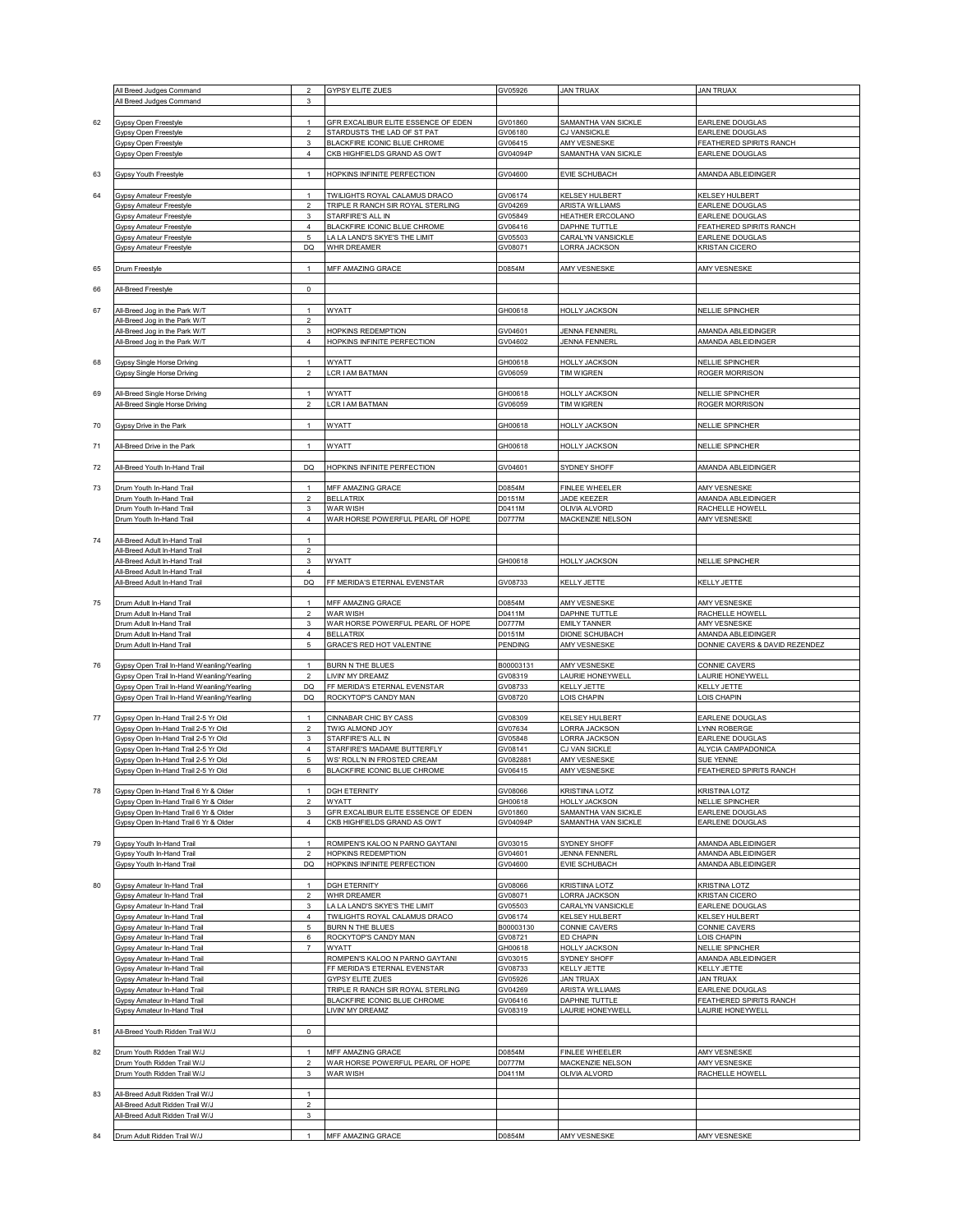|    |                                            | $\overline{2}$ |                                     |           |                         |                                |
|----|--------------------------------------------|----------------|-------------------------------------|-----------|-------------------------|--------------------------------|
|    | All Breed Judges Command                   |                | GYPSY ELITE ZUES                    | GV05926   | <b>JAN TRUAX</b>        | <b>JAN TRUAX</b>               |
|    | All Breed Judges Command                   | 3              |                                     |           |                         |                                |
|    |                                            |                |                                     |           |                         |                                |
| 62 | Gypsy Open Freestyle                       | $\mathbf{1}$   | GFR EXCALIBUR ELITE ESSENCE OF EDEN | GV01860   | SAMANTHA VAN SICKLE     | EARLENE DOUGLAS                |
|    | Gypsy Open Freestyle                       | $\overline{2}$ | STARDUSTS THE LAD OF ST PAT         | GV06180   | CJ VANSICKLE            | EARLENE DOUGLAS                |
|    | Gypsy Open Freestyle                       | 3              | BLACKFIRE ICONIC BLUE CHROME        | GV06415   | AMY VESNESKE            | FEATHERED SPIRITS RANCH        |
|    | <b>Gypsy Open Freestyle</b>                | $\overline{4}$ | CKB HIGHFIELDS GRAND AS OWT         | GV04094P  | SAMANTHA VAN SICKLE     | EARLENE DOUGLAS                |
|    |                                            |                |                                     |           |                         |                                |
| 63 | Gypsy Youth Freestyle                      | $\mathbf{1}$   | HOPKINS INFINITE PERFECTION         | GV04600   | EVIE SCHUBACH           | AMANDA ABLEIDINGER             |
|    |                                            |                |                                     |           |                         |                                |
|    |                                            |                |                                     |           |                         |                                |
| 64 | <b>Gypsy Amateur Freestyle</b>             | $\mathbf{1}$   | TWILIGHTS ROYAL CALAMUS DRACO       | GV06174   | KELSEY HULBERT          | KELSEY HULBERT                 |
|    | <b>Gypsy Amateur Freestyle</b>             | $\overline{2}$ | TRIPLE R RANCH SIR ROYAL STERLING   | GV04269   | <b>ARISTA WILLIAMS</b>  | EARLENE DOUGLAS                |
|    | <b>Gypsy Amateur Freestyle</b>             | 3              | STARFIRE'S ALL IN                   | GV05849   | <b>HEATHER ERCOLANO</b> | EARLENE DOUGLAS                |
|    | Gypsy Amateur Freestyle                    | $\overline{4}$ | BLACKFIRE ICONIC BLUE CHROME        | GV06416   | DAPHNE TUTTLE           | FEATHERED SPIRITS RANCH        |
|    | Gypsy Amateur Freestyle                    | 5              | LA LA LAND'S SKYE'S THE LIMIT       | GV05503   | CARALYN VANSICKLE       | EARLENE DOUGLAS                |
|    | Gypsy Amateur Freestyle                    | DQ             | WHR DREAMER                         | GV08071   | <b>ORRA JACKSON</b>     | <b>KRISTAN CICERO</b>          |
|    |                                            |                |                                     |           |                         |                                |
| 65 | Drum Freestyle                             | $\mathbf{1}$   | MFF AMAZING GRACE                   | D0854M    | AMY VESNESKE            | AMY VESNESKE                   |
|    |                                            |                |                                     |           |                         |                                |
| 66 | All-Breed Freestyle                        | $\mathsf 0$    |                                     |           |                         |                                |
|    |                                            |                |                                     |           |                         |                                |
|    |                                            |                |                                     |           |                         |                                |
| 67 | All-Breed Jog in the Park W/T              | $\mathbf{1}$   | WYATT                               | GH00618   | <b>HOLLY JACKSON</b>    | NELLIE SPINCHER                |
|    | All-Breed Jog in the Park W/T              | $\overline{2}$ |                                     |           |                         |                                |
|    | All-Breed Jog in the Park W/T              | 3              | HOPKINS REDEMPTION                  | GV04601   | <b>JENNA FENNERL</b>    | AMANDA ABLEIDINGER             |
|    | All-Breed Jog in the Park W/T              | $\sqrt{4}$     | HOPKINS INFINITE PERFECTION         | GV04602   | <b>JENNA FENNERL</b>    | AMANDA ABLEIDINGER             |
|    |                                            |                |                                     |           |                         |                                |
| 68 | <b>Gypsy Single Horse Driving</b>          | $\mathbf{1}$   | WYATT                               | GH00618   | <b>HOLLY JACKSON</b>    | <b>NELLIE SPINCHER</b>         |
|    | <b>Gypsy Single Horse Driving</b>          | $\overline{2}$ | LCR I AM BATMAN                     | GV06059   | <b>TIM WIGREN</b>       | ROGER MORRISON                 |
|    |                                            |                |                                     |           |                         |                                |
| 69 |                                            | $\mathbf{1}$   | WYATT                               | GH00618   | <b>HOLLY JACKSON</b>    | NELLIE SPINCHER                |
|    | All-Breed Single Horse Driving             |                |                                     |           | <b>TIM WIGREN</b>       |                                |
|    | <b>All-Breed Single Horse Driving</b>      | $\overline{2}$ | LCR I AM BATMAN                     | GV06059   |                         | ROGER MORRISON                 |
|    |                                            |                |                                     |           |                         |                                |
| 70 | Gypsy Drive in the Park                    | $\mathbf{1}$   | WYATT                               | GH00618   | <b>HOLLY JACKSON</b>    | <b>NELLIE SPINCHER</b>         |
|    |                                            |                |                                     |           |                         |                                |
| 71 | All-Breed Drive in the Park                | $\mathbf{1}$   | WYATT                               | GH00618   | <b>HOLLY JACKSON</b>    | <b>VELLIE SPINCHER</b>         |
|    |                                            |                |                                     |           |                         |                                |
| 72 | All-Breed Youth In-Hand Trail              | DQ             | HOPKINS INFINITE PERFECTION         | GV04601   | SYDNEY SHOFF            | AMANDA ABLEIDINGER             |
|    |                                            |                |                                     |           |                         |                                |
|    |                                            |                | MFF AMAZING GRACE                   |           |                         |                                |
| 73 | Drum Youth In-Hand Trail                   | $\mathbf{1}$   |                                     | D0854M    | <b>FINLEE WHEELER</b>   | AMY VESNESKE                   |
|    | <b>Drum Youth In-Hand Trail</b>            | $\overline{2}$ | <b>BELLATRIX</b>                    | D0151M    | JADE KEEZER             | AMANDA ABLEIDINGER             |
|    | <b>Drum Youth In-Hand Trail</b>            | 3              | WAR WISH                            | D0411M    | <b>OLIVIA ALVORD</b>    | RACHELLE HOWELL                |
|    | Drum Youth In-Hand Trail                   | $\overline{4}$ | WAR HORSE POWERFUL PEARL OF HOPE    | D0777M    | MACKENZIE NELSON        | AMY VESNESKE                   |
|    |                                            |                |                                     |           |                         |                                |
| 74 | All-Breed Adult In-Hand Trail              | $\mathbf{1}$   |                                     |           |                         |                                |
|    | All-Breed Adult In-Hand Trail              | $\sqrt{2}$     |                                     |           |                         |                                |
|    | All-Breed Adult In-Hand Trail              | $\mathsf 3$    | WYATT                               | GH00618   | <b>HOLLY JACKSON</b>    | <b>NELLIE SPINCHER</b>         |
|    | All-Breed Adult In-Hand Trail              | $\overline{4}$ |                                     |           |                         |                                |
|    |                                            |                |                                     |           |                         |                                |
|    | All-Breed Adult In-Hand Trail              | DQ             | FF MERIDA'S ETERNAL EVENSTAR        | GV08733   | KELLY JETTE             | KELLY JETTE                    |
|    |                                            |                |                                     |           |                         |                                |
| 75 | Drum Adult In-Hand Trail                   | $\mathbf{1}$   | MFF AMAZING GRACE                   | D0854M    | AMY VESNESKE            | AMY VESNESKE                   |
|    | Drum Adult In-Hand Trail                   | $\overline{2}$ | <b>WAR WISH</b>                     | D0411M    | DAPHNE TUTTLE           | RACHELLE HOWELL                |
|    | Drum Adult In-Hand Trail                   | 3              | WAR HORSE POWERFUL PEARL OF HOPE    | D0777M    | <b>EMILY TANNER</b>     | <b>AMY VESNESKE</b>            |
|    | Drum Adult In-Hand Trail                   | $\sqrt{4}$     | <b>BELLATRIX</b>                    | D0151M    | DIONE SCHUBACH          | AMANDA ABLEIDINGER             |
|    | Drum Adult In-Hand Trail                   | 5              | <b>GRACE'S RED HOT VALENTINE</b>    | PENDING   | <b>AMY VESNESKE</b>     | DONNIE CAVERS & DAVID REZENDEZ |
|    |                                            |                |                                     |           |                         |                                |
| 76 | Gypsy Open Trail In-Hand Weanling/Yearling | $\mathbf{1}$   | <b>BURN N THE BLUES</b>             | B00003131 | AMY VESNESKE            | CONNIE CAVERS                  |
|    | Gypsy Open Trail In-Hand Weanling/Yearling | $\sqrt{2}$     | LIVIN' MY DREAMZ                    | GV08319   | AURIE HONEYWELL         | AURIE HONEYWELL                |
|    |                                            | DQ             | FF MERIDA'S ETERNAL EVENSTAR        | GV08733   | <b>KELLY JETTE</b>      | <b>KELLY JETTE</b>             |
|    | Gypsy Open Trail In-Hand Weanling/Yearling |                |                                     |           |                         |                                |
|    | Gypsy Open Trail In-Hand Weanling/Yearling | DQ             | ROCKYTOP'S CANDY MAN                | GV08720   | OIS CHAPIN              | OIS CHAPIN                     |
|    |                                            |                |                                     |           |                         |                                |
| 77 | Gypsy Open In-Hand Trail 2-5 Yr Old        | $\mathbf{1}$   | CINNABAR CHIC BY CASS               | GV08309   | <b>CELSEY HULBERT</b>   | EARLENE DOUGLAS                |
|    | Gypsy Open In-Hand Trail 2-5 Yr Old        | $\overline{2}$ | <b>TWIG ALMOND JOY</b>              | GV07634   | ORRA JACKSON            | YNN ROBERGE                    |
|    | Gypsy Open In-Hand Trail 2-5 Yr Old        | 3              | STARFIRE'S ALL IN                   | GV05848   | ORRA JACKSON            | EARLENE DOUGLAS                |
|    | Gypsy Open In-Hand Trail 2-5 Yr Old        | $\sqrt{4}$     | STARFIRE'S MADAME BUTTERFLY         | GV08141   | CJ VAN SICKLE           | ALYCIA CAMPADONICA             |
|    | Gypsy Open In-Hand Trail 2-5 Yr Old        | 5              | WS' ROLL'N IN FROSTED CREAM         | GV082881  | AMY VESNESKE            | SUE YENNE                      |
|    | Gypsy Open In-Hand Trail 2-5 Yr Old        | 6              | BLACKFIRE ICONIC BLUE CHROME        | GV06415   | AMY VESNESKE            | FEATHERED SPIRITS RANCH        |
|    |                                            |                |                                     |           |                         |                                |
| 78 | Gypsy Open In-Hand Trail 6 Yr & Older      | $\overline{1}$ | <b>DGH ETERNITY</b>                 | GV08066   | <b>KRISTIINA LOTZ</b>   | <b>KRISTINA LOTZ</b>           |
|    | Gypsy Open In-Hand Trail 6 Yr & Older      | $\overline{a}$ | WYATT                               | GH00618   | <b>HOLLY JACKSON</b>    | <b>NELLIE SPINCHER</b>         |
|    |                                            | $\mathsf 3$    | GFR EXCALIBUR ELITE ESSENCE OF EDEN | GV01860   | SAMANTHA VAN SICKLE     |                                |
|    | Gypsy Open In-Hand Trail 6 Yr & Older      |                |                                     |           |                         | EARLENE DOUGLAS                |
|    | Gypsy Open In-Hand Trail 6 Yr & Older      | $\sqrt{4}$     | CKB HIGHFIELDS GRAND AS OWT         | GV04094P  | SAMANTHA VAN SICKLE     | EARLENE DOUGLAS                |
|    |                                            |                |                                     |           |                         |                                |
| 79 | Gypsy Youth In-Hand Trail                  | $\mathbf{1}$   | ROMIPEN'S KALOO N PARNO GAYTANI     | GV03015   | SYDNEY SHOFF            | AMANDA ABLEIDINGER             |
|    | Gypsy Youth In-Hand Trail                  | $\mathfrak{p}$ | HOPKINS REDEMPTION                  | GV04601   | <b>ENNA FENNERL</b>     | AMANDA ABLEIDINGER             |
|    | Gypsy Youth In-Hand Trail                  | DQ             | HOPKINS INFINITE PERFECTION         | GV04600   | EVIE SCHUBACH           | AMANDA ABLEIDINGER             |
|    |                                            |                |                                     |           |                         |                                |
| 80 | Gypsy Amateur In-Hand Trail                | $\mathbf{1}$   | <b>DGH ETERNITY</b>                 | GV08066   | KRISTIINA LOTZ          | KRISTINA LOTZ                  |
|    | Gypsy Amateur In-Hand Trail                | $\overline{a}$ | WHR DREAMER                         | GV08071   |                         | <b>KRISTAN CICERO</b>          |
|    |                                            |                |                                     |           | ORRA JACKSON            |                                |
|    |                                            |                |                                     |           |                         |                                |
|    | Gypsy Amateur In-Hand Trail                | $\mathsf 3$    | LA LA LAND'S SKYE'S THE LIMIT       | GV05503   | CARALYN VANSICKLE       | EARLENE DOUGLAS                |
|    | Gypsy Amateur In-Hand Trail                | 4              | TWILIGHTS ROYAL CALAMUS DRACO       | GV06174   | KELSEY HULBERT          | KELSEY HULBERT                 |
|    | Gypsy Amateur In-Hand Trail                | 5              | <b>BURN N THE BLUES</b>             | B00003130 | <b>CONNIE CAVERS</b>    | CONNIE CAVERS                  |
|    | Gypsy Amateur In-Hand Trail                | 6              | ROCKYTOP'S CANDY MAN                | GV08721   | ED CHAPIN               | OIS CHAPIN                     |
|    | Gypsy Amateur In-Hand Trail                | $\overline{7}$ | WYATT                               | GH00618   | <b>HOLLY JACKSON</b>    | <b>NELLIE SPINCHER</b>         |
|    | Gypsy Amateur In-Hand Trail                |                | ROMIPEN'S KALOO N PARNO GAYTANI     | GV03015   | SYDNEY SHOFF            | AMANDA ABLEIDINGER             |
|    | Gypsy Amateur In-Hand Trail                |                | FF MERIDA'S ETERNAL EVENSTAR        | GV08733   | KELLY JETTE             | KELLY JETTE                    |
|    | Gypsy Amateur In-Hand Trail                |                | <b>GYPSY ELITE ZUES</b>             | GV05926   | <b>JAN TRUAX</b>        | <b>JAN TRUAX</b>               |
|    | Gypsy Amateur In-Hand Trail                |                | TRIPLE R RANCH SIR ROYAL STERLING   | GV04269   | ARISTA WILLIAMS         | EARLENE DOUGLAS                |
|    |                                            |                |                                     |           |                         |                                |
|    | Gypsy Amateur In-Hand Trail                |                | BLACKFIRE ICONIC BLUE CHROME        | GV06416   | DAPHNE TUTTLE           | FEATHERED SPIRITS RANCH        |
|    | Gypsy Amateur In-Hand Trail                |                | LIVIN' MY DREAMZ                    | GV08319   | AURIE HONEYWELL         | AURIE HONEYWELL                |
|    |                                            |                |                                     |           |                         |                                |
| 81 | All-Breed Youth Ridden Trail W/J           | $\mathsf 0$    |                                     |           |                         |                                |
|    |                                            |                |                                     |           |                         |                                |
| 82 | Drum Youth Ridden Trail W/J                | $\mathbf{1}$   | MFF AMAZING GRACE                   | D0854M    | FINLEE WHEELER          | AMY VESNESKE                   |
|    | Drum Youth Ridden Trail W/J                | $\overline{2}$ | WAR HORSE POWERFUL PEARL OF HOPE    | D0777M    | MACKENZIE NELSON        | AMY VESNESKE                   |
|    | Drum Youth Ridden Trail W/J                | 3              | WAR WISH                            | D0411M    | OLIVIA ALVORD           | RACHELLE HOWELL                |
|    |                                            |                |                                     |           |                         |                                |
|    |                                            | $\mathbf{1}$   |                                     |           |                         |                                |
| 83 | All-Breed Adult Ridden Trail W/J           |                |                                     |           |                         |                                |
|    | All-Breed Adult Ridden Trail W/J           | $\overline{2}$ |                                     |           |                         |                                |
|    | All-Breed Adult Ridden Trail W/J           | $\mathsf 3$    |                                     |           |                         |                                |
| 84 | Drum Adult Ridden Trail W/J                | $\mathbf{1}$   | MFF AMAZING GRACE                   | D0854M    | AMY VESNESKE            | AMY VESNESKE                   |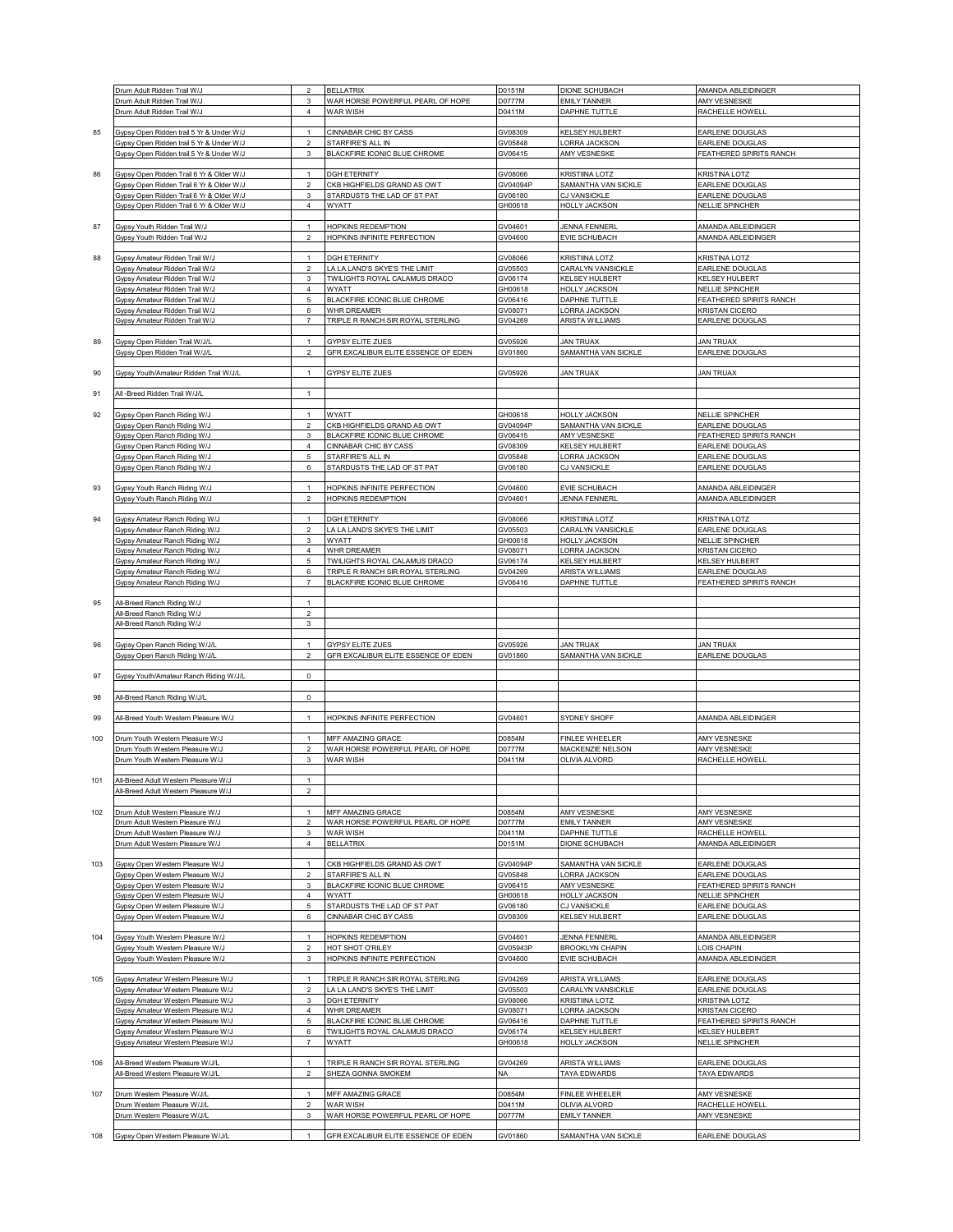|     | Drum Adult Ridden Trail W/J                                        | $\sqrt{2}$                     | <b>BELLATRIX</b>                           | D0151M             | DIONE SCHUBACH                  | AMANDA ABLEIDINGER              |
|-----|--------------------------------------------------------------------|--------------------------------|--------------------------------------------|--------------------|---------------------------------|---------------------------------|
|     | Drum Adult Ridden Trail W/J                                        | 3                              | WAR HORSE POWERFUL PEARL OF HOPE           | D0777M             | <b>EMILY TANNER</b>             | AMY VESNESKE                    |
|     | Drum Adult Ridden Trail W/J                                        | $\overline{4}$                 | WAR WISH                                   | D0411M             | DAPHNE TUTTLE                   | RACHELLE HOWELL                 |
|     |                                                                    |                                |                                            |                    |                                 |                                 |
|     |                                                                    |                                |                                            |                    |                                 |                                 |
| 85  | Gypsy Open Ridden trail 5 Yr & Under W/J                           | $\mathbf{1}$                   | CINNABAR CHIC BY CASS                      | GV08309            | KELSEY HULBERT                  | EARLENE DOUGLAS                 |
|     | Gypsy Open Ridden trail 5 Yr & Under W/J                           | $\overline{2}$                 | STARFIRE'S ALL IN                          | GV05848            | ORRA JACKSON                    | EARLENE DOUGLAS                 |
|     | Gypsy Open Ridden trail 5 Yr & Under W/J                           | $\mathbf{3}$                   | BLACKFIRE ICONIC BLUE CHROME               | GV06415            | AMY VESNESKE                    | FEATHERED SPIRITS RANCH         |
|     |                                                                    |                                |                                            |                    |                                 |                                 |
| 86  | Gypsy Open Ridden Trail 6 Yr & Older W/J                           | $\mathbf{1}$                   | <b>DGH ETERNITY</b>                        | GV08066            | <b>KRISTIINA LOTZ</b>           | KRISTINA LOTZ                   |
|     | Gypsy Open Ridden Trail 6 Yr & Older W/J                           | $\overline{2}$                 | CKB HIGHFIELDS GRAND AS OWT                | GV04094P           | SAMANTHA VAN SICKLE             | EARLENE DOUGLAS                 |
|     | Gypsy Open Ridden Trail 6 Yr & Older W/J                           | 3                              | STARDUSTS THE LAD OF ST PAT                | GV06180            | CJ VANSICKLE                    | EARLENE DOUGLAS                 |
|     | Gypsy Open Ridden Trail 6 Yr & Older W/J                           | $\sqrt{4}$                     | WYATT                                      | GH00618            | <b>HOLLY JACKSON</b>            | <b>NELLIE SPINCHER</b>          |
|     |                                                                    |                                |                                            |                    |                                 |                                 |
| 87  | Gypsy Youth Ridden Trail W/J                                       | $\mathbf{1}$                   | HOPKINS REDEMPTION                         | GV04601            | <b>JENNA FENNERL</b>            | AMANDA ABLEIDINGER              |
|     | Gypsy Youth Ridden Trail W/J                                       | $\overline{2}$                 | HOPKINS INFINITE PERFECTION                | GV04600            | EVIE SCHUBACH                   | AMANDA ABLEIDINGER              |
|     |                                                                    |                                |                                            |                    |                                 |                                 |
| 88  | Gypsy Amateur Ridden Trail W/J                                     | $\mathbf{1}$                   | <b>DGH ETERNITY</b>                        | GV08066            | KRISTIINA LOTZ                  | KRISTINA LOTZ                   |
|     | Gypsy Amateur Ridden Trail W/J                                     | $\boldsymbol{2}$               | LA LA LAND'S SKYE'S THE LIMIT              | GV05503            | CARALYN VANSICKLE               | EARLENE DOUGLAS                 |
|     | Gypsy Amateur Ridden Trail W/J                                     | 3                              | TWILIGHTS ROYAL CALAMUS DRACO              | GV06174            | KELSEY HULBERT                  | KELSEY HULBERT                  |
|     | Gypsy Amateur Ridden Trail W/J                                     | $\sqrt{4}$                     | <b>WYATT</b>                               | GH00618            | <b>HOLLY JACKSON</b>            | <b>NELLIE SPINCHER</b>          |
|     | Gypsy Amateur Ridden Trail W/J                                     | 5                              | BLACKFIRE ICONIC BLUE CHROME               | GV06416            | DAPHNE TUTTLE                   | FEATHERED SPIRITS RANCH         |
|     | Gypsy Amateur Ridden Trail W/J                                     | 6                              | WHR DREAMER                                | GV08071            | ORRA JACKSON                    | KRISTAN CICERO                  |
|     | Gypsy Amateur Ridden Trail W/J                                     | $\overline{\mathcal{I}}$       | TRIPLE R RANCH SIR ROYAL STERLING          | GV04269            | ARISTA WILLIAMS                 | EARLENE DOUGLAS                 |
|     |                                                                    |                                |                                            |                    |                                 |                                 |
| 89  | Gypsy Open Ridden Trail W/J/L                                      | $\mathbf{1}$                   | GYPSY ELITE ZUES                           | GV05926            | <b>JAN TRUAX</b>                | <b>JAN TRUAX</b>                |
|     | Gypsy Open Ridden Trail W/J/L                                      | $\overline{2}$                 | <b>GFR EXCALIBUR ELITE ESSENCE OF EDEN</b> | GV01860            | SAMANTHA VAN SICKLE             | <b>EARLENE DOUGLAS</b>          |
|     |                                                                    |                                |                                            |                    |                                 |                                 |
| 90  | Gypsy Youth/Amateur Ridden Trail W/J/I                             | $\overline{1}$                 | <b>GYPSY ELITE ZUES</b>                    | GV05926            | <b>JAN TRUAX</b>                | <b>JAN TRUAX</b>                |
|     |                                                                    |                                |                                            |                    |                                 |                                 |
| 91  | All -Breed Ridden Trail W/J/L                                      | $\mathbf{1}$                   |                                            |                    |                                 |                                 |
|     |                                                                    | $\overline{1}$                 |                                            |                    |                                 |                                 |
| 92  | Gypsy Open Ranch Riding W/J                                        |                                | <b>WYATT</b>                               | GH00618            | <b>HOLLY JACKSON</b>            | <b>NELLIE SPINCHER</b>          |
|     | Gypsy Open Ranch Riding W/J                                        | $\sqrt{2}$                     | CKB HIGHFIELDS GRAND AS OWT                | GV04094P           | SAMANTHA VAN SICKLE             | EARLENE DOUGLAS                 |
|     | Gypsy Open Ranch Riding W/J                                        | 3                              | BLACKFIRE ICONIC BLUE CHROME               | GV06415            | AMY VESNESKE                    | <b>FEATHERED SPIRITS RANCH</b>  |
|     | Gypsy Open Ranch Riding W/J                                        | $\overline{4}$                 | CINNABAR CHIC BY CASS                      | GV08309            | KELSEY HULBERT                  | EARLENE DOUGLAS                 |
|     | Gypsy Open Ranch Riding W/J                                        | 5                              | STARFIRE'S ALL IN                          | GV05848            | <b>ORRA JACKSON</b>             | EARLENE DOUGLAS                 |
|     | Gypsy Open Ranch Riding W/J                                        | 6                              | STARDUSTS THE LAD OF ST PAT                | GV06180            | CJ VANSICKLE                    | EARLENE DOUGLAS                 |
| 93  | Gypsy Youth Ranch Riding W/J                                       | $\mathbf{1}$                   | HOPKINS INFINITE PERFECTION                | GV04600            | EVIE SCHUBACH                   | AMANDA ABLEIDINGER              |
|     | Gypsy Youth Ranch Riding W/J                                       | $\overline{2}$                 | <b>HOPKINS REDEMPTION</b>                  |                    | <b>JENNA FENNERL</b>            | AMANDA ABLEIDINGER              |
|     |                                                                    |                                |                                            | GV04601            |                                 |                                 |
| 94  | Gypsy Amateur Ranch Riding W/J                                     | $\mathbf{1}$                   | <b>DGH ETERNITY</b>                        | GV08066            | KRISTIINA LOTZ                  | <b>KRISTINA LOTZ</b>            |
|     | Gypsy Amateur Ranch Riding W/J                                     | $\overline{\mathbf{c}}$        | LA LA LAND'S SKYE'S THE LIMIT              | GV05503            | CARALYN VANSICKLE               | EARLENE DOUGLAS                 |
|     | Gypsy Amateur Ranch Riding W/J                                     | 3                              | WYATT                                      | GH00618            | <b>HOLLY JACKSON</b>            | NELLIE SPINCHER                 |
|     | Gypsy Amateur Ranch Riding W/J                                     | $\sqrt{4}$                     | WHR DREAMER                                | GV08071            | <b>ORRA JACKSON</b>             | <b>KRISTAN CICERO</b>           |
|     |                                                                    | 5                              | TWILIGHTS ROYAL CALAMUS DRACO              |                    | KELSEY HULBERT                  | KELSEY HULBERT                  |
|     | Gypsy Amateur Ranch Riding W/J                                     | 6                              | TRIPLE R RANCH SIR ROYAL STERLING          | GV06174            | ARISTA WILLIAMS                 | EARLENE DOUGLAS                 |
|     | Gypsy Amateur Ranch Riding W/J<br>Gypsy Amateur Ranch Riding W/J   | $\overline{7}$                 | BLACKFIRE ICONIC BLUE CHROME               | GV04269<br>GV06416 | DAPHNE TUTTLE                   | FEATHERED SPIRITS RANCH         |
|     |                                                                    |                                |                                            |                    |                                 |                                 |
| 95  | All-Breed Ranch Riding W/J                                         | $\mathbf{1}$                   |                                            |                    |                                 |                                 |
|     | <b>NI-Breed Ranch Riding W/J</b>                                   | $\overline{\mathbf{c}}$        |                                            |                    |                                 |                                 |
|     | All-Breed Ranch Riding W/J                                         | 3                              |                                            |                    |                                 |                                 |
|     |                                                                    |                                |                                            |                    |                                 |                                 |
| 96  | Gypsy Open Ranch Riding W/J/L                                      |                                | GYPSY ELITE ZUES                           | GV05926            | <b>JAN TRUAX</b>                | <b>JAN TRUAX</b>                |
|     | Gypsy Open Ranch Riding W/J/L                                      | $\overline{2}$                 | GFR EXCALIBUR ELITE ESSENCE OF EDEN        | GV01860            | SAMANTHA VAN SICKLE             | <b>EARLENE DOUGLAS</b>          |
|     |                                                                    |                                |                                            |                    |                                 |                                 |
| 97  | Gypsy Youth/Amateur Ranch Riding W/J/L                             | $\mathsf 0$                    |                                            |                    |                                 |                                 |
|     |                                                                    |                                |                                            |                    |                                 |                                 |
| 98  | All-Breed Ranch Riding W/J/L                                       | $\mathsf 0$                    |                                            |                    |                                 |                                 |
|     |                                                                    |                                |                                            |                    |                                 |                                 |
| 99  | All-Breed Youth Western Pleasure W/J                               | $\mathbf{1}$                   | HOPKINS INFINITE PERFECTION                | GV04601            | SYDNEY SHOFF                    | AMANDA ABLEIDINGER              |
|     |                                                                    |                                |                                            |                    |                                 |                                 |
| 100 | Drum Youth Western Pleasure W/J                                    | $\mathbf{1}$                   | MFF AMAZING GRACE                          | D0854M             | FINLEE WHEELER                  | AMY VESNESKE                    |
|     | Drum Youth Western Pleasure W/J                                    | $\overline{2}$                 | WAR HORSE POWERFUL PEARL OF HOPE           | D0777M             | MACKENZIE NELSON                | AMY VESNESKE                    |
|     | Drum Youth Western Pleasure W/J                                    | 3                              | WAR WISH                                   | D0411M             | <b>OLIVIA ALVORD</b>            | RACHELLE HOWELL                 |
|     |                                                                    |                                |                                            |                    |                                 |                                 |
| 101 | All-Breed Adult Western Pleasure W/J                               |                                |                                            |                    |                                 |                                 |
|     | All-Breed Adult Western Pleasure W/J                               | $\overline{2}$                 |                                            |                    |                                 |                                 |
|     |                                                                    | $\mathbf{1}$                   | MFF AMAZING GRACE                          |                    | AMY VESNESKE                    | AMY VESNESKE                    |
| 102 | Drum Adult Western Pleasure W/J<br>Drum Adult Western Pleasure W/J | $\overline{2}$                 | WAR HORSE POWERFUL PEARL OF HOPE           | D0854M<br>D0777M   | <b>EMILY TANNER</b>             | AMY VESNESKE                    |
|     | Drum Adult Western Pleasure W/J                                    | 3                              | WAR WISH                                   | D0411M             | DAPHNE TUTTLE                   | RACHELLE HOWELL                 |
|     | Drum Adult Western Pleasure W/J                                    | $\overline{4}$                 | <b>BELLATRIX</b>                           | D0151M             | <b>DIONE SCHUBACH</b>           | AMANDA ABLEIDINGER              |
|     |                                                                    |                                |                                            |                    |                                 |                                 |
| 103 | Gypsy Open Western Pleasure W/J                                    | $\mathbf{1}$                   | CKB HIGHFIELDS GRAND AS OWT                | GV04094P           | SAMANTHA VAN SICKLE             | EARLENE DOUGLAS                 |
|     | Gypsy Open Western Pleasure W/J                                    | $\overline{\mathbf{c}}$        | STARFIRE'S ALL IN                          | GV05848            | ORRA JACKSON                    | EARLENE DOUGLAS                 |
|     | Gypsy Open Western Pleasure W/J                                    | $\mathsf 3$                    | BLACKFIRE ICONIC BLUE CHROME               | GV06415            | AMY VESNESKE                    | <b>FEATHERED SPIRITS RANCH</b>  |
|     | Gypsy Open Western Pleasure W/J                                    | $\sqrt{4}$                     | WYATT                                      | GH00618            | <b>HOLLY JACKSON</b>            | NELLIE SPINCHER                 |
|     | Gypsy Open Western Pleasure W/J                                    | 5                              | STARDUSTS THE LAD OF ST PAT                | GV06180            | CJ VANSICKLE                    | EARLENE DOUGLAS                 |
|     | Gypsy Open Western Pleasure W/J                                    | 6                              | CINNABAR CHIC BY CASS                      | GV08309            | KELSEY HULBERT                  | EARLENE DOUGLAS                 |
|     |                                                                    |                                |                                            |                    |                                 |                                 |
| 104 | Gypsy Youth Western Pleasure W/J                                   | $\mathbf{1}$                   | <b>HOPKINS REDEMPTION</b>                  | GV04601            | <b>JENNA FENNERL</b>            | AMANDA ABLEIDINGER              |
|     | Gypsy Youth Western Pleasure W/J                                   | $\mathfrak{D}$                 | HOT SHOT O'RILEY                           | GV05943P           | <b>BROOKLYN CHAPIN</b>          | OIS CHAPIN                      |
|     | Gypsy Youth Western Pleasure W/J                                   | 3                              | <b>HOPKINS INFINITE PERFECTION</b>         | GV04600            | <b>EVIE SCHUBACH</b>            | AMANDA ABLEIDINGER              |
|     |                                                                    |                                |                                            |                    |                                 |                                 |
| 105 | Gypsy Amateur Western Pleasure W/J                                 | $\mathbf{1}$                   | TRIPLE R RANCH SIR ROYAL STERLING          | GV04269            | <b>ARISTA WILLIAMS</b>          | EARLENE DOUGLAS                 |
|     | Gypsy Amateur Western Pleasure W/J                                 | $\overline{a}$                 | LA LA LAND'S SKYE'S THE LIMIT              | GV05503            | CARALYN VANSICKLE               | EARLENE DOUGLAS                 |
|     | Gypsy Amateur Western Pleasure W/J                                 | 3                              | <b>DGH ETERNITY</b>                        | GV08066            | KRISTIINA LOTZ                  | KRISTINA LOTZ                   |
|     | Gypsy Amateur Western Pleasure W/J                                 | 4                              | WHR DREAMER                                | GV08071            | ORRA JACKSON                    | <b>KRISTAN CICERO</b>           |
|     | Gypsy Amateur Western Pleasure W/J                                 | 5                              | BLACKFIRE ICONIC BLUE CHROME               | GV06416            | DAPHNE TUTTLE                   | FEATHERED SPIRITS RANCH         |
|     | Gypsy Amateur Western Pleasure W/J                                 | 6                              | TWILIGHTS ROYAL CALAMUS DRACO              | GV06174            | <b>KELSEY HULBERT</b>           | KELSEY HULBERT                  |
|     | Gypsy Amateur Western Pleasure W/J                                 | $\overline{7}$                 | WYATT                                      | GH00618            | <b>HOLLY JACKSON</b>            | NELLIE SPINCHER                 |
|     |                                                                    |                                |                                            |                    |                                 |                                 |
| 106 | All-Breed Western Pleasure W/J/L                                   | $\mathbf{1}$<br>$\mathfrak{p}$ | TRIPLE R RANCH SIR ROYAL STERLING          | GV04269            | ARISTA WILLIAMS                 | EARLENE DOUGLAS                 |
|     | All-Breed Western Pleasure W/J/L                                   |                                | SHEZA GONNA SMOKEM                         | NA                 | <b>TAYA EDWARDS</b>             | <b>TAYA EDWARDS</b>             |
|     |                                                                    |                                |                                            |                    |                                 |                                 |
| 107 | Drum Western Pleasure W/J/L<br>Drum Western Pleasure W/J/L         | $\mathbf{1}$<br>$\mathfrak{p}$ | MFF AMAZING GRACE<br>WAR WISH              | D0854M<br>D0411M   | FINLEE WHEELER<br>OLIVIA ALVORD | AMY VESNESKE<br>RACHELLE HOWELL |
|     | Orum Western Pleasure W/J/L                                        | $\mathsf 3$                    | WAR HORSE POWERFUL PEARL OF HOPE           | D0777M             | <b>EMILY TANNER</b>             | AMY VESNESKE                    |
|     |                                                                    |                                |                                            |                    |                                 |                                 |
|     | Gypsy Open Western Pleasure W/J/L                                  | $\overline{1}$                 | GFR EXCALIBUR ELITE ESSENCE OF EDEN        | GV01860            | SAMANTHA VAN SICKLE             | EARLENE DOUGLAS                 |
| 108 |                                                                    |                                |                                            |                    |                                 |                                 |